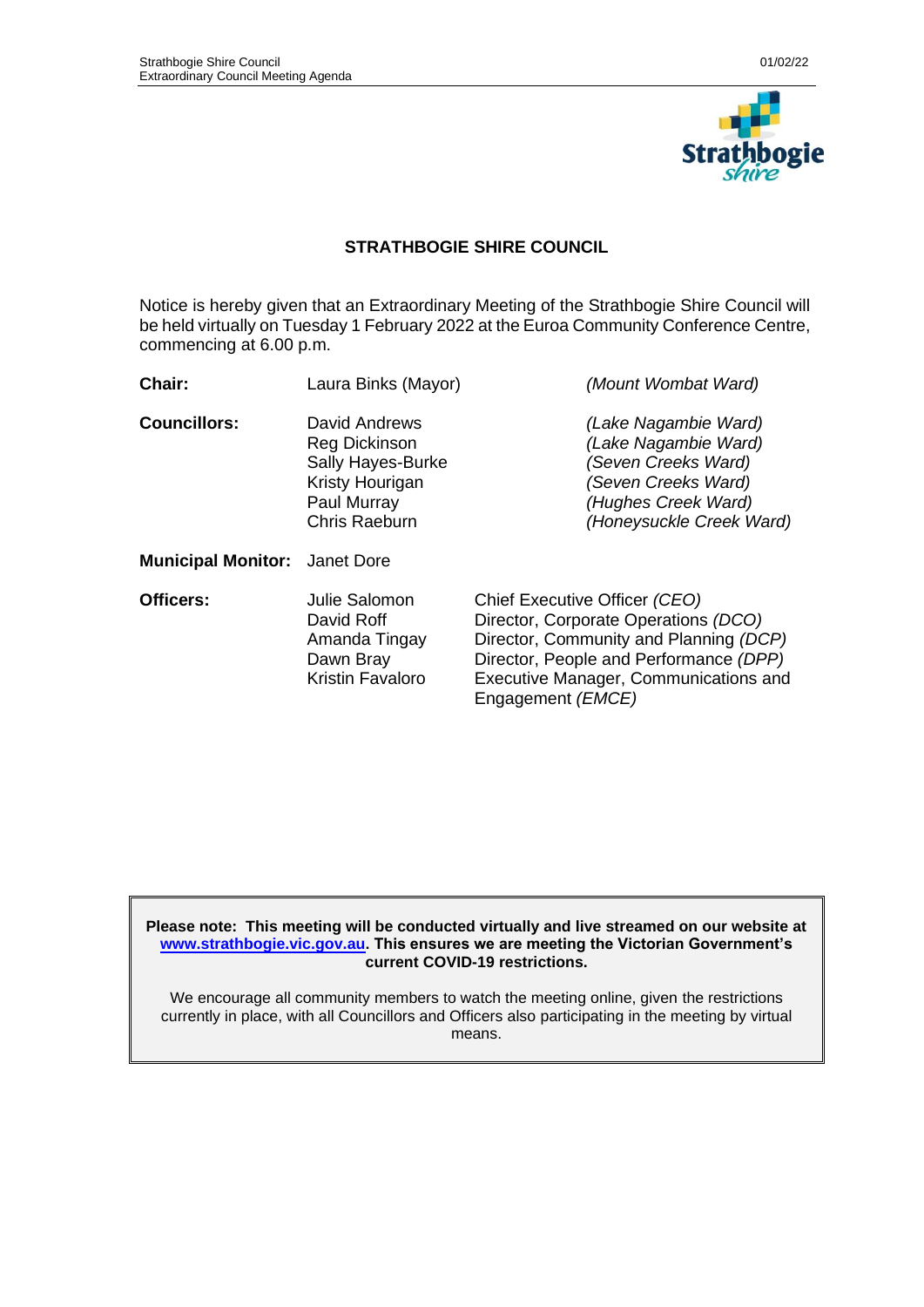

### **STRATHBOGIE SHIRE COUNCIL**

Notice is hereby given that an Extraordinary Meeting of the Strathbogie Shire Council will be held virtually on Tuesday 1 February 2022 at the Euroa Community Conference Centre, commencing at 6.00 p.m.

| Chair:                               | Laura Binks (Mayor)                                                                                           | (Mount Wombat Ward)                                                                                                                                                                                                     |  |
|--------------------------------------|---------------------------------------------------------------------------------------------------------------|-------------------------------------------------------------------------------------------------------------------------------------------------------------------------------------------------------------------------|--|
| <b>Councillors:</b>                  | David Andrews<br><b>Reg Dickinson</b><br>Sally Hayes-Burke<br>Kristy Hourigan<br>Paul Murray<br>Chris Raeburn | (Lake Nagambie Ward)<br>(Lake Nagambie Ward)<br>(Seven Creeks Ward)<br>(Seven Creeks Ward)<br>(Hughes Creek Ward)<br>(Honeysuckle Creek Ward)                                                                           |  |
| <b>Municipal Monitor:</b> Janet Dore |                                                                                                               |                                                                                                                                                                                                                         |  |
| Officers:                            | Julie Salomon<br>David Roff<br>Amanda Tingay<br>Dawn Bray<br>Kristin Favaloro                                 | Chief Executive Officer (CEO)<br>Director, Corporate Operations (DCO)<br>Director, Community and Planning (DCP)<br>Director, People and Performance (DPP)<br>Executive Manager, Communications and<br>Engagement (EMCE) |  |

**Please note: This meeting will be conducted virtually and live streamed on our website at [www.strathbogie.vic.gov.au.](http://www.strathbogie.vic.gov.au/) This ensures we are meeting the Victorian Government's current COVID-19 restrictions.** 

We encourage all community members to watch the meeting online, given the restrictions currently in place, with all Councillors and Officers also participating in the meeting by virtual means.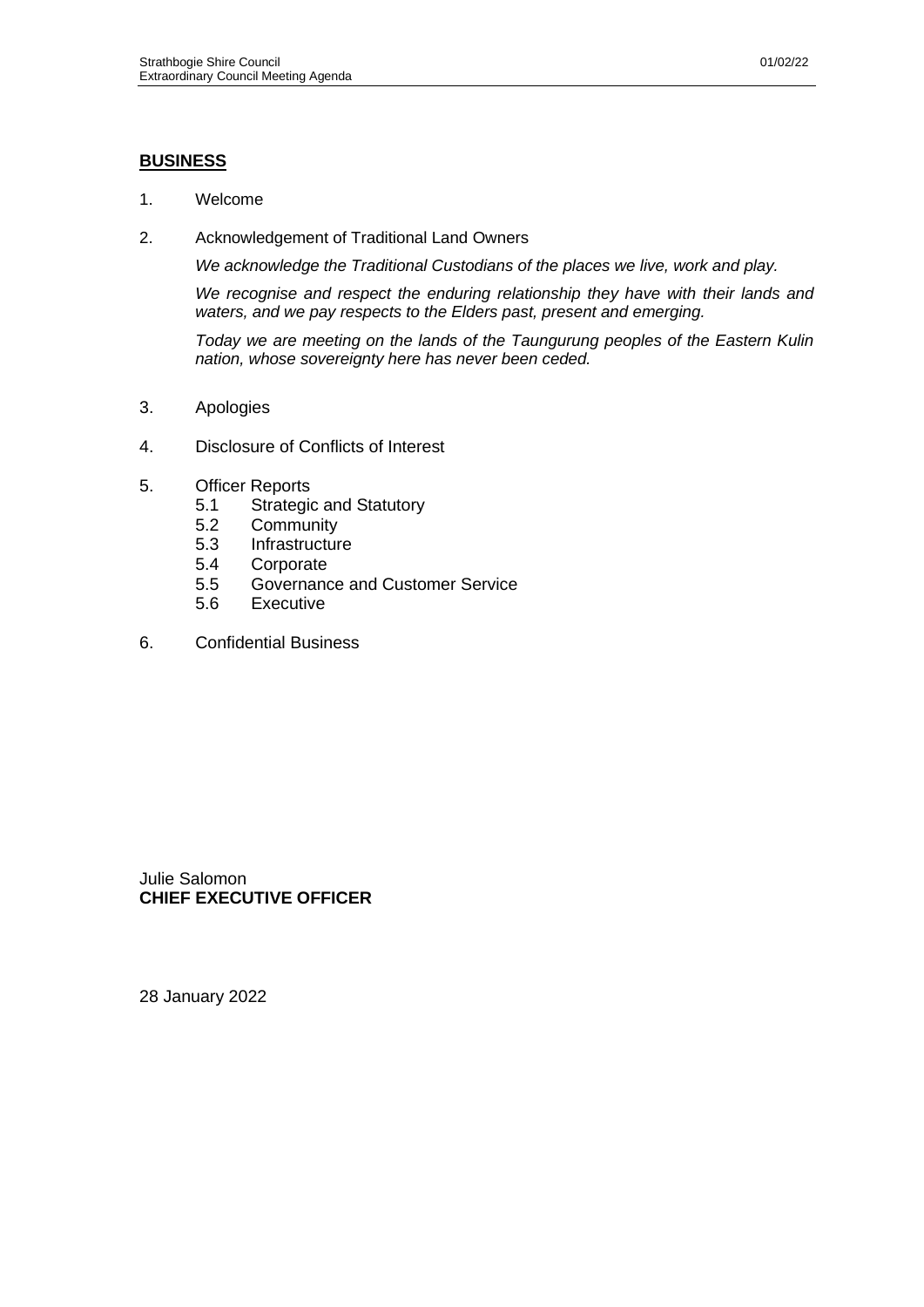### **BUSINESS**

- 1. Welcome
- 2. Acknowledgement of Traditional Land Owners

*We acknowledge the Traditional Custodians of the places we live, work and play.*

*We recognise and respect the enduring relationship they have with their lands and waters, and we pay respects to the Elders past, present and emerging.*

*Today we are meeting on the lands of the Taungurung peoples of the Eastern Kulin nation, whose sovereignty here has never been ceded.*

- 3. Apologies
- 4. Disclosure of Conflicts of Interest
- 5. Officer Reports
	- 5.1 Strategic and Statutory
	- 5.2 Community
	- 5.3 Infrastructure
	- 5.4 Corporate
	- 5.5 Governance and Customer Service<br>5.6 Executive
	- **Executive**
- 6. Confidential Business

Julie Salomon **CHIEF EXECUTIVE OFFICER**

28 January 2022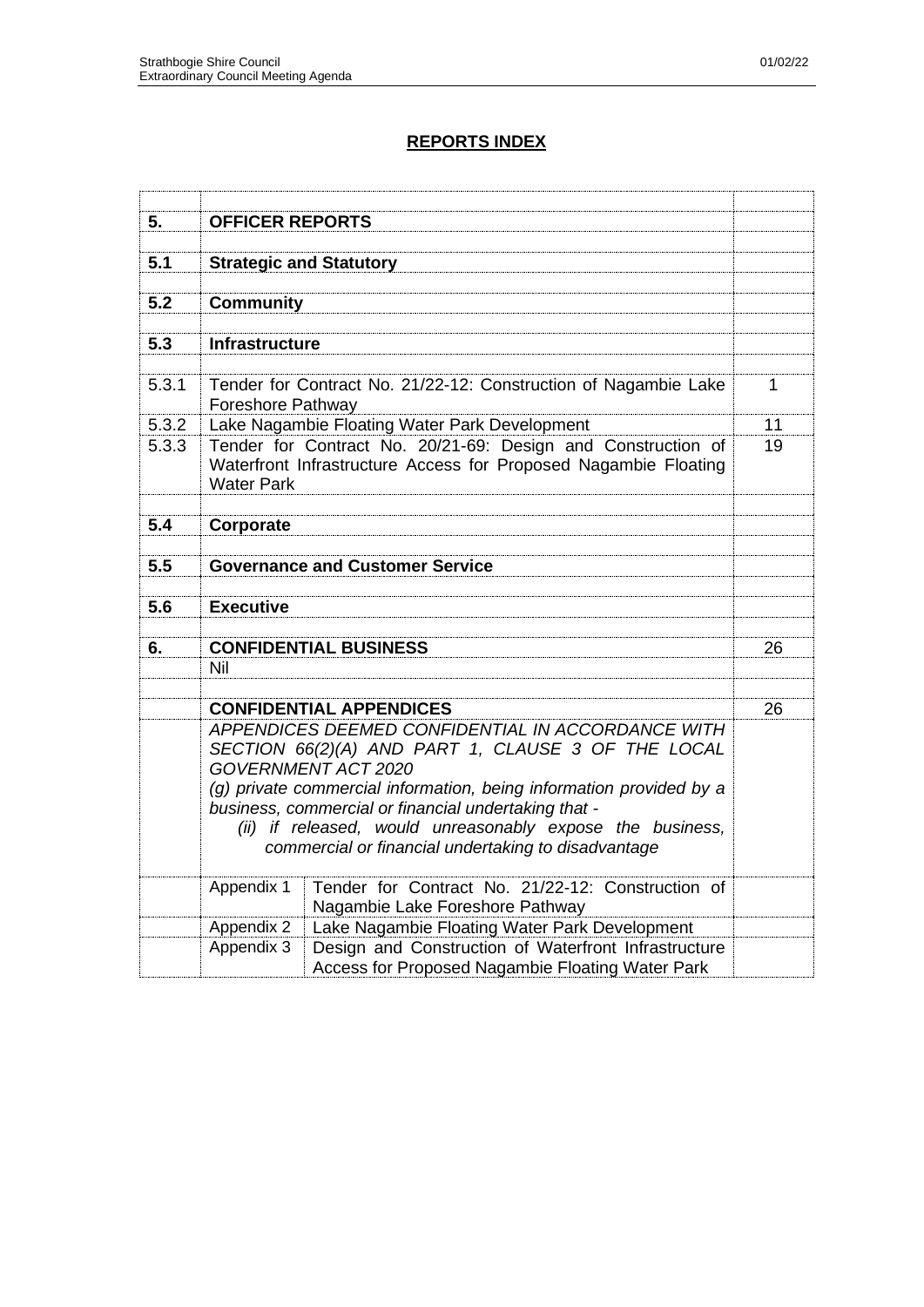| 5.    | <b>OFFICER REPORTS</b>                                                                                                         |                                                                                                                                 |    |
|-------|--------------------------------------------------------------------------------------------------------------------------------|---------------------------------------------------------------------------------------------------------------------------------|----|
| 5.1   | <b>Strategic and Statutory</b>                                                                                                 |                                                                                                                                 |    |
| 5.2   | <b>Community</b>                                                                                                               |                                                                                                                                 |    |
| 5.3   | Infrastructure                                                                                                                 |                                                                                                                                 |    |
|       |                                                                                                                                |                                                                                                                                 |    |
| 5.3.1 | <b>Foreshore Pathway</b>                                                                                                       | Tender for Contract No. 21/22-12: Construction of Nagambie Lake                                                                 | 1  |
| 5.3.2 |                                                                                                                                | Lake Nagambie Floating Water Park Development                                                                                   | 11 |
| 5.3.3 | <b>Water Park</b>                                                                                                              | Tender for Contract No. 20/21-69: Design and Construction of<br>Waterfront Infrastructure Access for Proposed Nagambie Floating | 19 |
| 5.4   | Corporate                                                                                                                      |                                                                                                                                 |    |
|       |                                                                                                                                |                                                                                                                                 |    |
| 5.5   |                                                                                                                                | <b>Governance and Customer Service</b>                                                                                          |    |
|       |                                                                                                                                |                                                                                                                                 |    |
| 5.6   | <b>Executive</b>                                                                                                               |                                                                                                                                 |    |
| 6.    |                                                                                                                                | <b>CONFIDENTIAL BUSINESS</b>                                                                                                    | 26 |
|       | Nil                                                                                                                            |                                                                                                                                 |    |
|       |                                                                                                                                |                                                                                                                                 |    |
|       |                                                                                                                                | <b>CONFIDENTIAL APPENDICES</b>                                                                                                  | 26 |
|       | APPENDICES DEEMED CONFIDENTIAL IN ACCORDANCE WITH<br>SECTION 66(2)(A) AND PART 1, CLAUSE 3 OF THE LOCAL<br>GOVERNMENT ACT 2020 |                                                                                                                                 |    |
|       | (g) private commercial information, being information provided by a<br>business, commercial or financial undertaking that -    |                                                                                                                                 |    |
|       |                                                                                                                                | (ii) if released, would unreasonably expose the business,<br>commercial or financial undertaking to disadvantage                |    |
|       | Appendix 1                                                                                                                     | Tender for Contract No. 21/22-12: Construction of<br>Nagambie Lake Foreshore Pathway                                            |    |
|       | Appendix 2                                                                                                                     | Lake Nagambie Floating Water Park Development                                                                                   |    |
|       | Appendix 3<br>Design and Construction of Waterfront Infrastructure<br>Access for Proposed Nagambie Floating Water Park         |                                                                                                                                 |    |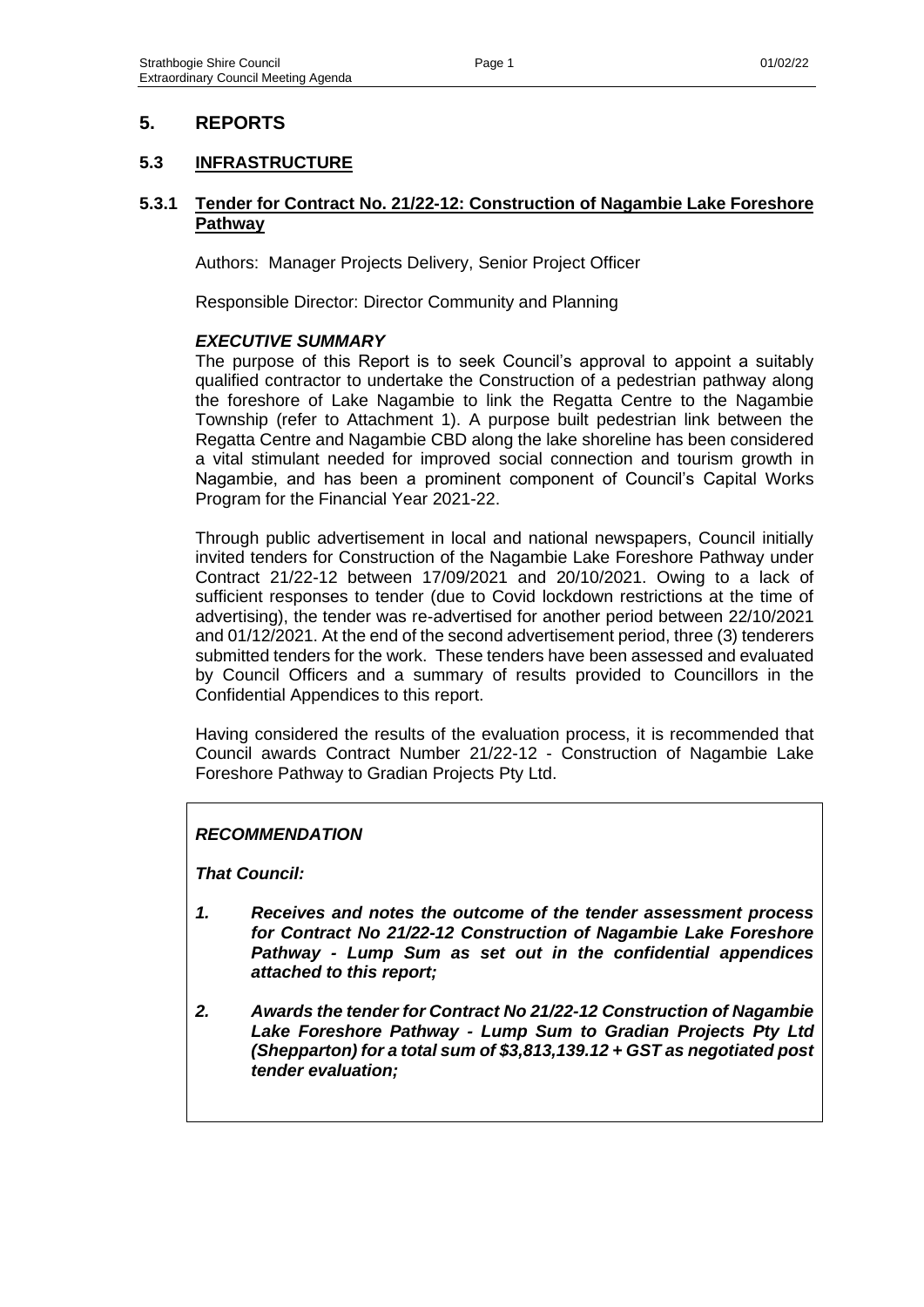# **5. REPORTS**

### **5.3 INFRASTRUCTURE**

### **5.3.1 Tender for Contract No. 21/22-12: Construction of Nagambie Lake Foreshore Pathway**

Authors: Manager Projects Delivery, Senior Project Officer

Responsible Director: Director Community and Planning

### *EXECUTIVE SUMMARY*

The purpose of this Report is to seek Council's approval to appoint a suitably qualified contractor to undertake the Construction of a pedestrian pathway along the foreshore of Lake Nagambie to link the Regatta Centre to the Nagambie Township (refer to Attachment 1). A purpose built pedestrian link between the Regatta Centre and Nagambie CBD along the lake shoreline has been considered a vital stimulant needed for improved social connection and tourism growth in Nagambie, and has been a prominent component of Council's Capital Works Program for the Financial Year 2021-22.

Through public advertisement in local and national newspapers, Council initially invited tenders for Construction of the Nagambie Lake Foreshore Pathway under Contract 21/22-12 between 17/09/2021 and 20/10/2021. Owing to a lack of sufficient responses to tender (due to Covid lockdown restrictions at the time of advertising), the tender was re-advertised for another period between 22/10/2021 and 01/12/2021. At the end of the second advertisement period, three (3) tenderers submitted tenders for the work. These tenders have been assessed and evaluated by Council Officers and a summary of results provided to Councillors in the Confidential Appendices to this report.

Having considered the results of the evaluation process, it is recommended that Council awards Contract Number 21/22-12 - Construction of Nagambie Lake Foreshore Pathway to Gradian Projects Pty Ltd.

### *RECOMMENDATION*

*That Council:*

- *1. Receives and notes the outcome of the tender assessment process for Contract No 21/22-12 Construction of Nagambie Lake Foreshore Pathway - Lump Sum as set out in the confidential appendices attached to this report;*
- *2. Awards the tender for Contract No 21/22-12 Construction of Nagambie Lake Foreshore Pathway - Lump Sum to Gradian Projects Pty Ltd (Shepparton) for a total sum of \$3,813,139.12 + GST as negotiated post tender evaluation;*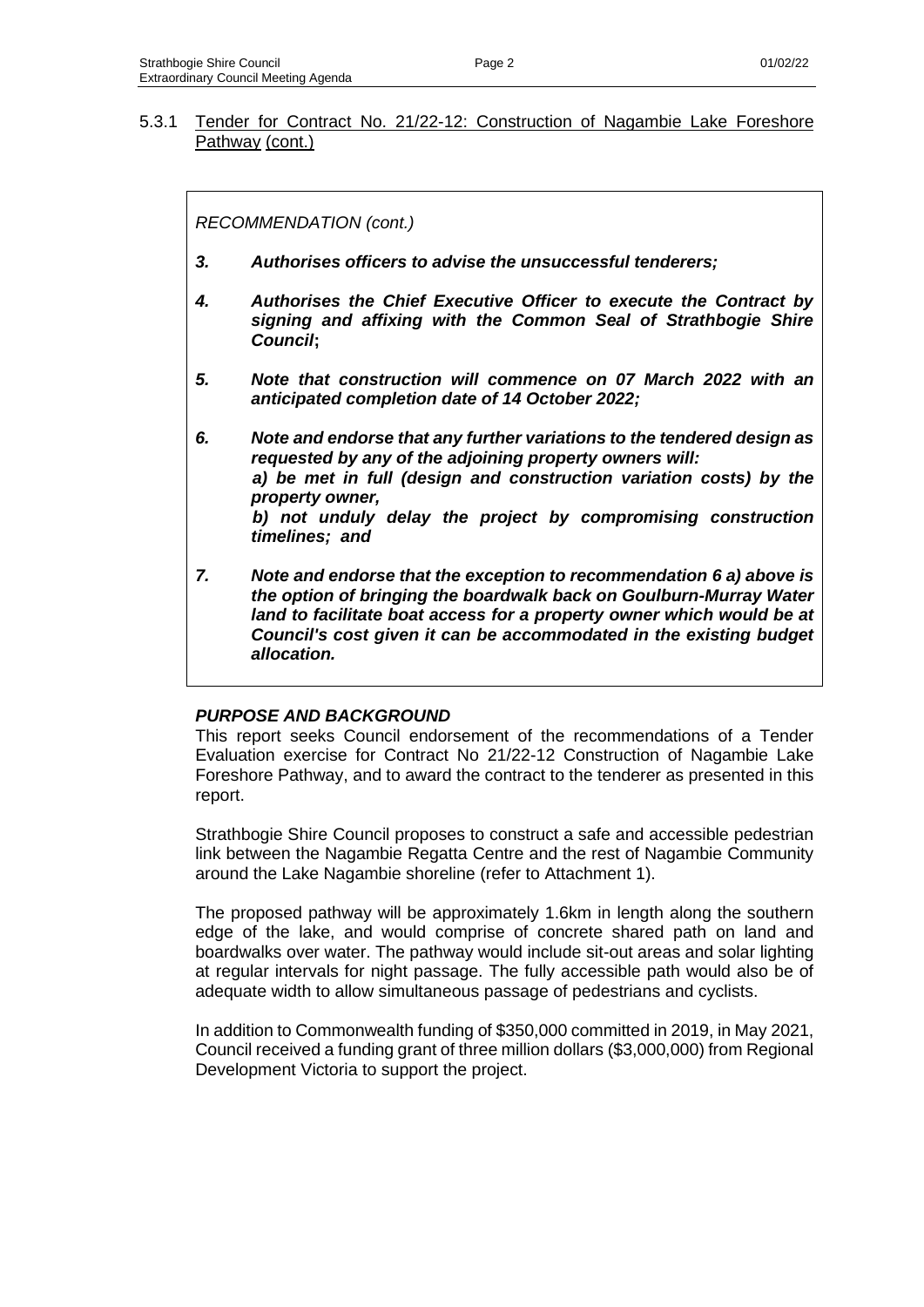*RECOMMENDATION (cont.)*

- *3. Authorises officers to advise the unsuccessful tenderers;*
- *4. Authorises the Chief Executive Officer to execute the Contract by signing and affixing with the Common Seal of Strathbogie Shire Council***;**
- *5. Note that construction will commence on 07 March 2022 with an anticipated completion date of 14 October 2022;*
- *6. Note and endorse that any further variations to the tendered design as requested by any of the adjoining property owners will: a) be met in full (design and construction variation costs) by the property owner, b) not unduly delay the project by compromising construction timelines; and*
- *7. Note and endorse that the exception to recommendation 6 a) above is the option of bringing the boardwalk back on Goulburn-Murray Water*  land to facilitate boat access for a property owner which would be at *Council's cost given it can be accommodated in the existing budget allocation.*

### *PURPOSE AND BACKGROUND*

This report seeks Council endorsement of the recommendations of a Tender Evaluation exercise for Contract No 21/22-12 Construction of Nagambie Lake Foreshore Pathway, and to award the contract to the tenderer as presented in this report.

Strathbogie Shire Council proposes to construct a safe and accessible pedestrian link between the Nagambie Regatta Centre and the rest of Nagambie Community around the Lake Nagambie shoreline (refer to Attachment 1).

The proposed pathway will be approximately 1.6km in length along the southern edge of the lake, and would comprise of concrete shared path on land and boardwalks over water. The pathway would include sit-out areas and solar lighting at regular intervals for night passage. The fully accessible path would also be of adequate width to allow simultaneous passage of pedestrians and cyclists.

In addition to Commonwealth funding of \$350,000 committed in 2019, in May 2021, Council received a funding grant of three million dollars (\$3,000,000) from Regional Development Victoria to support the project.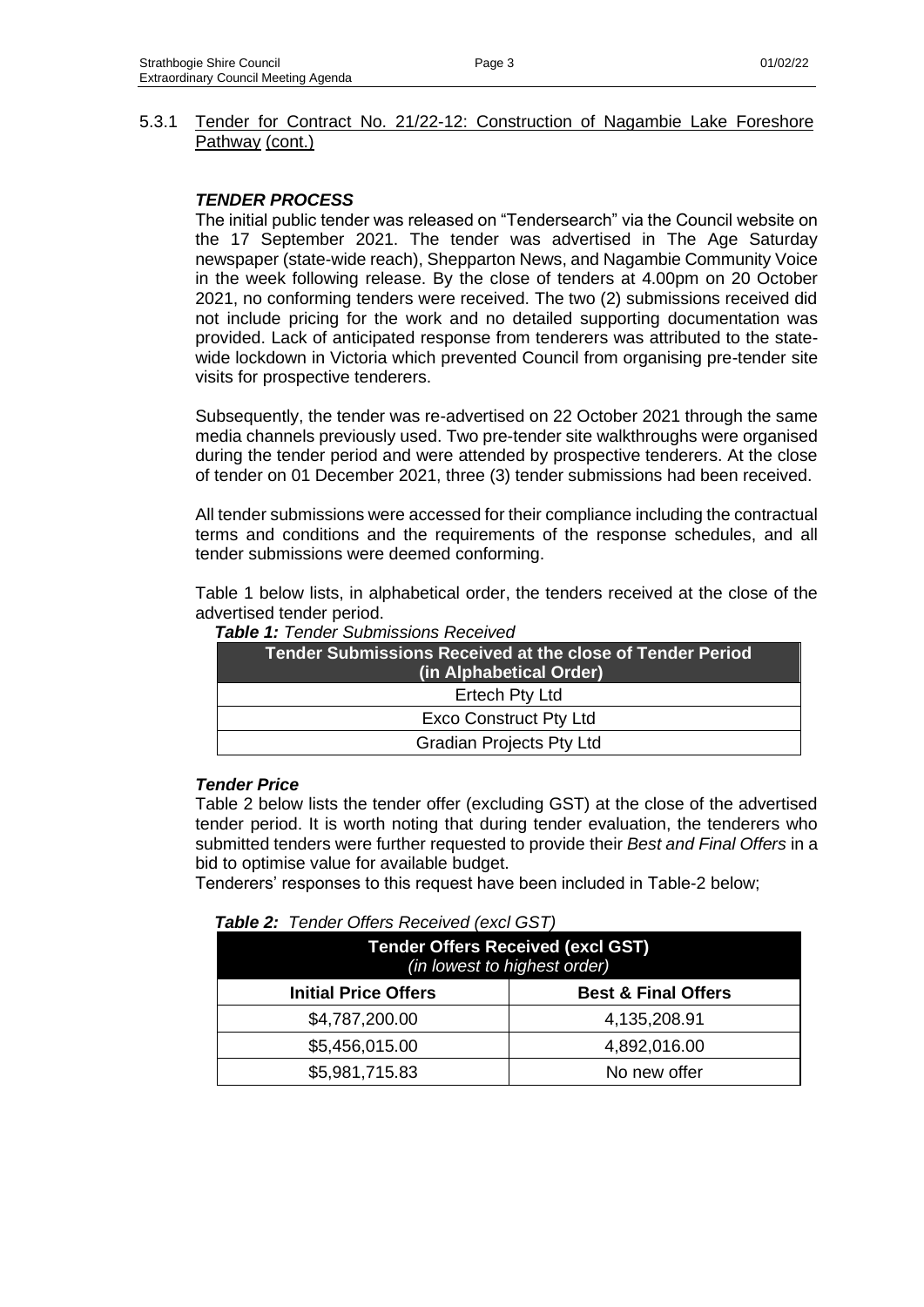### *TENDER PROCESS*

The initial public tender was released on "Tendersearch" via the Council website on the 17 September 2021. The tender was advertised in The Age Saturday newspaper (state-wide reach), Shepparton News, and Nagambie Community Voice in the week following release. By the close of tenders at 4.00pm on 20 October 2021, no conforming tenders were received. The two (2) submissions received did not include pricing for the work and no detailed supporting documentation was provided. Lack of anticipated response from tenderers was attributed to the statewide lockdown in Victoria which prevented Council from organising pre-tender site visits for prospective tenderers.

Subsequently, the tender was re-advertised on 22 October 2021 through the same media channels previously used. Two pre-tender site walkthroughs were organised during the tender period and were attended by prospective tenderers. At the close of tender on 01 December 2021, three (3) tender submissions had been received.

All tender submissions were accessed for their compliance including the contractual terms and conditions and the requirements of the response schedules, and all tender submissions were deemed conforming.

Table 1 below lists, in alphabetical order, the tenders received at the close of the advertised tender period.

| <b>Tender Submissions Received at the close of Tender Period</b><br>(in Alphabetical Order) |
|---------------------------------------------------------------------------------------------|
| Ertech Pty Ltd                                                                              |
| <b>Exco Construct Pty Ltd</b>                                                               |
| <b>Gradian Projects Pty Ltd</b>                                                             |

#### *Table 1: Tender Submissions Received*

### *Tender Price*

Table 2 below lists the tender offer (excluding GST) at the close of the advertised tender period. It is worth noting that during tender evaluation, the tenderers who submitted tenders were further requested to provide their *Best and Final Offers* in a bid to optimise value for available budget.

Tenderers' responses to this request have been included in Table-2 below;

#### *Table 2: Tender Offers Received (excl GST)*

| <b>Tender Offers Received (excl GST)</b><br>(in lowest to highest order) |              |  |  |
|--------------------------------------------------------------------------|--------------|--|--|
| <b>Best &amp; Final Offers</b><br><b>Initial Price Offers</b>            |              |  |  |
| \$4,787,200.00                                                           | 4,135,208.91 |  |  |
| \$5,456,015.00                                                           | 4,892,016.00 |  |  |
| \$5,981,715.83                                                           | No new offer |  |  |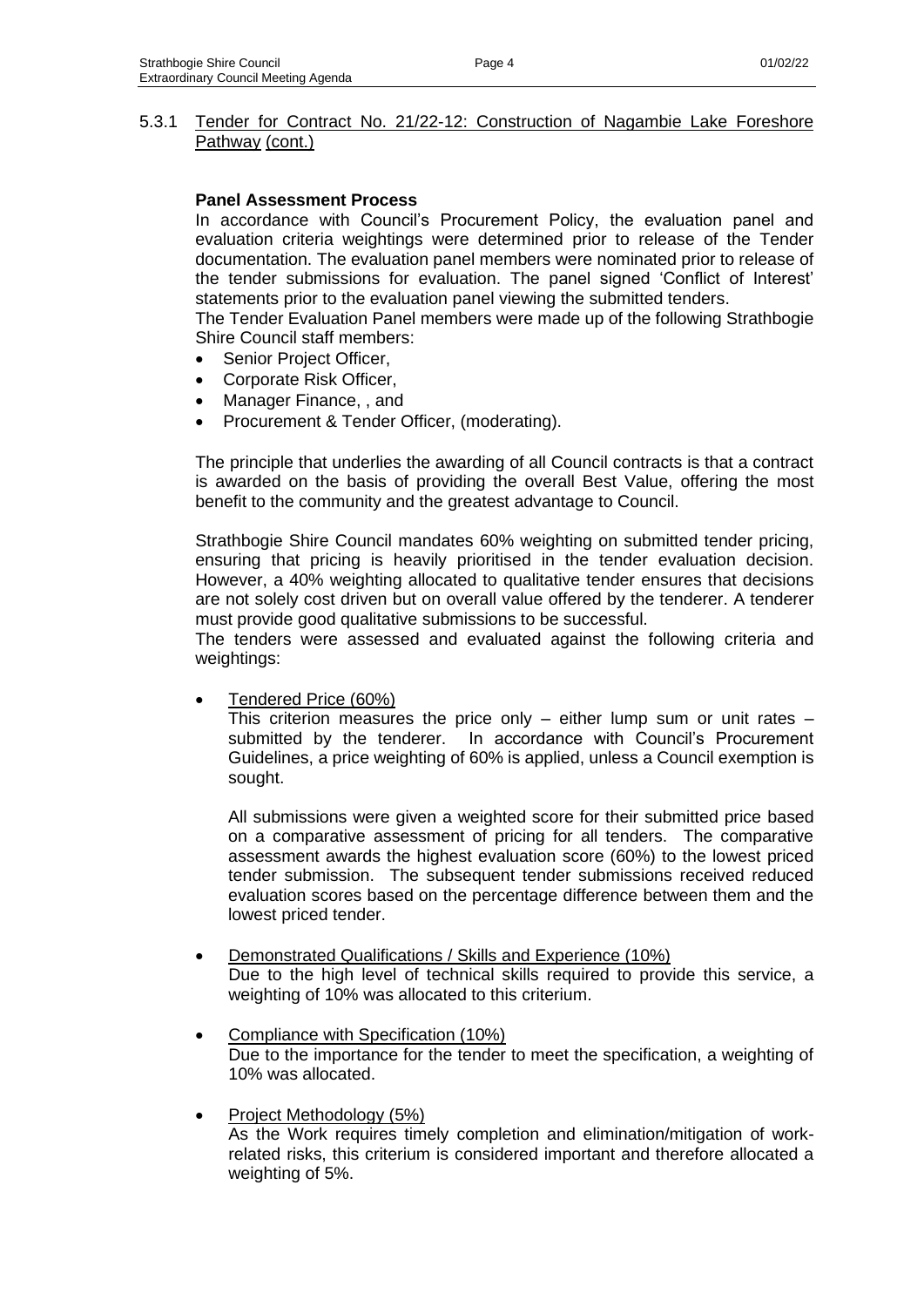### **Panel Assessment Process**

In accordance with Council's Procurement Policy, the evaluation panel and evaluation criteria weightings were determined prior to release of the Tender documentation. The evaluation panel members were nominated prior to release of the tender submissions for evaluation. The panel signed 'Conflict of Interest' statements prior to the evaluation panel viewing the submitted tenders.

The Tender Evaluation Panel members were made up of the following Strathbogie Shire Council staff members:

- Senior Project Officer,
- Corporate Risk Officer,
- Manager Finance, , and
- Procurement & Tender Officer, (moderating).

The principle that underlies the awarding of all Council contracts is that a contract is awarded on the basis of providing the overall Best Value, offering the most benefit to the community and the greatest advantage to Council.

Strathbogie Shire Council mandates 60% weighting on submitted tender pricing, ensuring that pricing is heavily prioritised in the tender evaluation decision. However, a 40% weighting allocated to qualitative tender ensures that decisions are not solely cost driven but on overall value offered by the tenderer. A tenderer must provide good qualitative submissions to be successful.

The tenders were assessed and evaluated against the following criteria and weightings:

• Tendered Price (60%)

This criterion measures the price only  $-$  either lump sum or unit rates  $$ submitted by the tenderer. In accordance with Council's Procurement Guidelines, a price weighting of 60% is applied, unless a Council exemption is sought.

All submissions were given a weighted score for their submitted price based on a comparative assessment of pricing for all tenders. The comparative assessment awards the highest evaluation score (60%) to the lowest priced tender submission. The subsequent tender submissions received reduced evaluation scores based on the percentage difference between them and the lowest priced tender.

- Demonstrated Qualifications / Skills and Experience (10%) Due to the high level of technical skills required to provide this service, a weighting of 10% was allocated to this criterium.
- Compliance with Specification (10%) Due to the importance for the tender to meet the specification, a weighting of 10% was allocated.
- Project Methodology (5%) As the Work requires timely completion and elimination/mitigation of work-

related risks, this criterium is considered important and therefore allocated a weighting of 5%.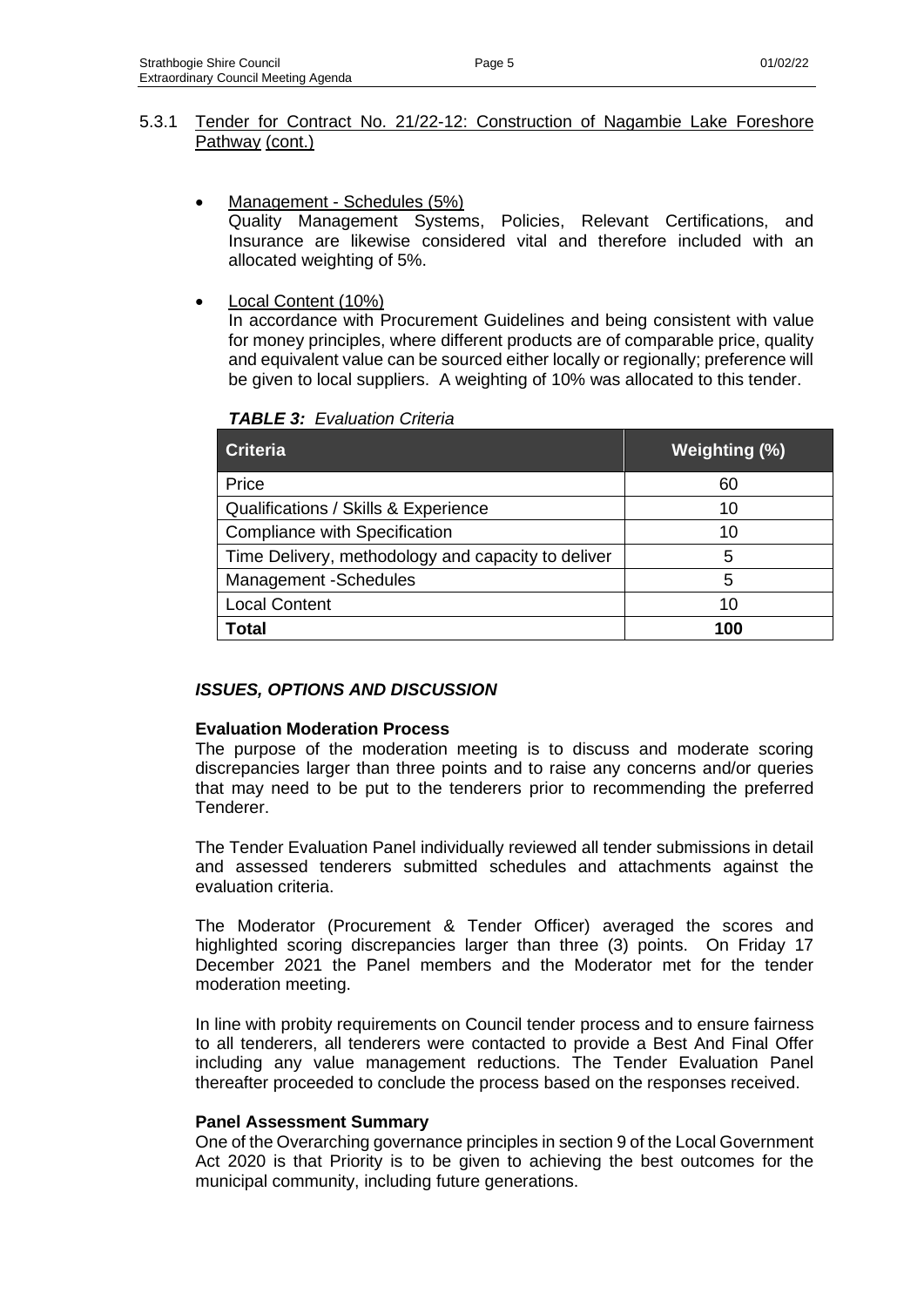• Management - Schedules (5%) Quality Management Systems, Policies, Relevant Certifications, and

Insurance are likewise considered vital and therefore included with an allocated weighting of 5%.

• Local Content (10%)

In accordance with Procurement Guidelines and being consistent with value for money principles, where different products are of comparable price, quality and equivalent value can be sourced either locally or regionally; preference will be given to local suppliers. A weighting of 10% was allocated to this tender.

| <b>TABLE 3: Evaluation Criteria</b> |
|-------------------------------------|
|-------------------------------------|

| <b>Criteria</b>                                    | <b>Weighting (%)</b> |
|----------------------------------------------------|----------------------|
| Price                                              | 60                   |
| Qualifications / Skills & Experience               | 10                   |
| <b>Compliance with Specification</b>               | 10                   |
| Time Delivery, methodology and capacity to deliver | 5                    |
| Management -Schedules                              | 5                    |
| <b>Local Content</b>                               | 10                   |
| Total                                              | 100                  |

# *ISSUES, OPTIONS AND DISCUSSION*

### **Evaluation Moderation Process**

The purpose of the moderation meeting is to discuss and moderate scoring discrepancies larger than three points and to raise any concerns and/or queries that may need to be put to the tenderers prior to recommending the preferred Tenderer.

The Tender Evaluation Panel individually reviewed all tender submissions in detail and assessed tenderers submitted schedules and attachments against the evaluation criteria.

The Moderator (Procurement & Tender Officer) averaged the scores and highlighted scoring discrepancies larger than three (3) points. On Friday 17 December 2021 the Panel members and the Moderator met for the tender moderation meeting.

In line with probity requirements on Council tender process and to ensure fairness to all tenderers, all tenderers were contacted to provide a Best And Final Offer including any value management reductions. The Tender Evaluation Panel thereafter proceeded to conclude the process based on the responses received.

### **Panel Assessment Summary**

One of the Overarching governance principles in section 9 of the Local Government Act 2020 is that Priority is to be given to achieving the best outcomes for the municipal community, including future generations.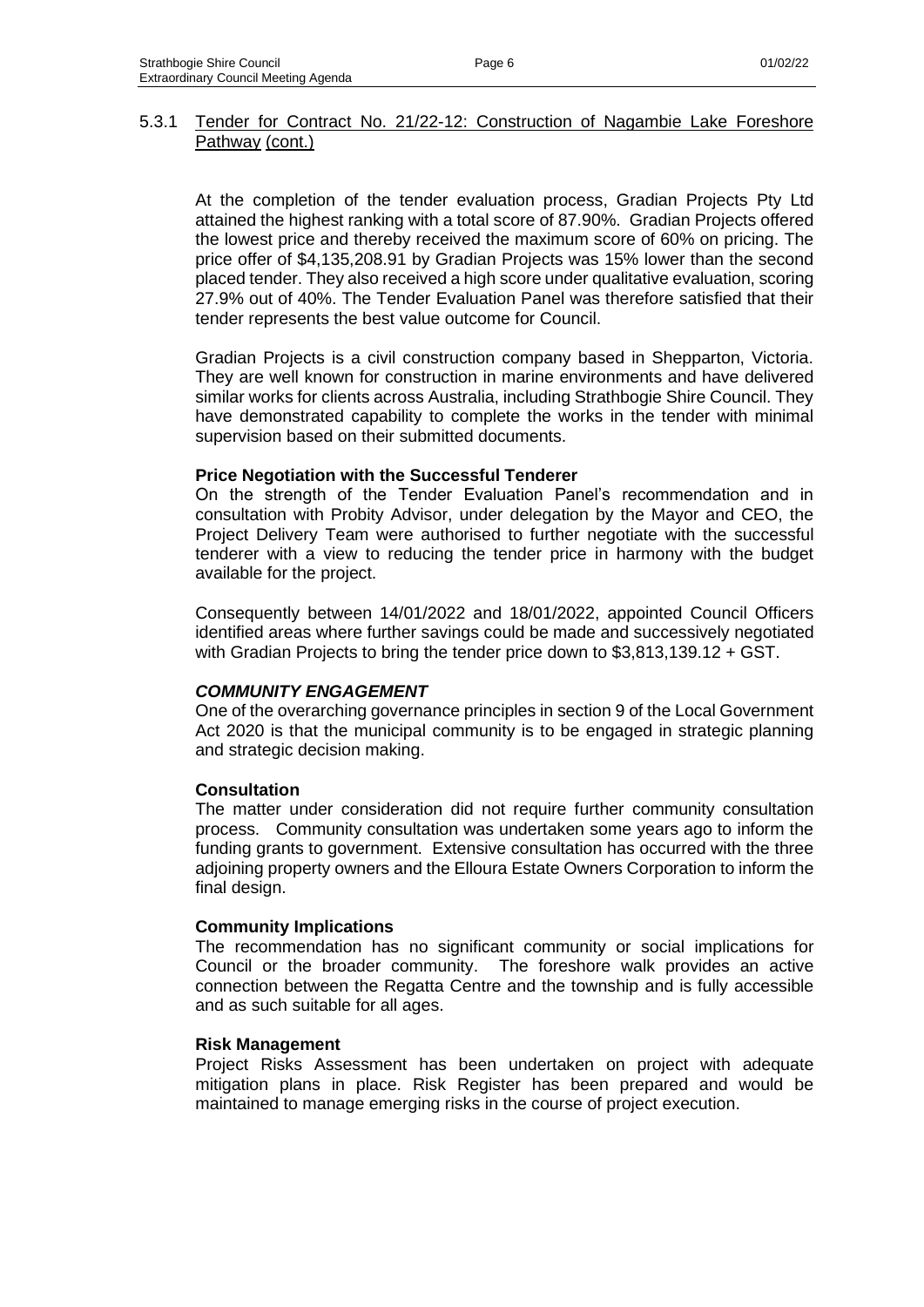At the completion of the tender evaluation process, Gradian Projects Pty Ltd attained the highest ranking with a total score of 87.90%. Gradian Projects offered the lowest price and thereby received the maximum score of 60% on pricing. The price offer of \$4,135,208.91 by Gradian Projects was 15% lower than the second placed tender. They also received a high score under qualitative evaluation, scoring 27.9% out of 40%. The Tender Evaluation Panel was therefore satisfied that their tender represents the best value outcome for Council.

Gradian Projects is a civil construction company based in Shepparton, Victoria. They are well known for construction in marine environments and have delivered similar works for clients across Australia, including Strathbogie Shire Council. They have demonstrated capability to complete the works in the tender with minimal supervision based on their submitted documents.

#### **Price Negotiation with the Successful Tenderer**

On the strength of the Tender Evaluation Panel's recommendation and in consultation with Probity Advisor, under delegation by the Mayor and CEO, the Project Delivery Team were authorised to further negotiate with the successful tenderer with a view to reducing the tender price in harmony with the budget available for the project.

Consequently between 14/01/2022 and 18/01/2022, appointed Council Officers identified areas where further savings could be made and successively negotiated with Gradian Projects to bring the tender price down to \$3,813,139.12 + GST.

### *COMMUNITY ENGAGEMENT*

One of the overarching governance principles in section 9 of the Local Government Act 2020 is that the municipal community is to be engaged in strategic planning and strategic decision making.

#### **Consultation**

The matter under consideration did not require further community consultation process. Community consultation was undertaken some years ago to inform the funding grants to government. Extensive consultation has occurred with the three adjoining property owners and the Elloura Estate Owners Corporation to inform the final design.

#### **Community Implications**

The recommendation has no significant community or social implications for Council or the broader community. The foreshore walk provides an active connection between the Regatta Centre and the township and is fully accessible and as such suitable for all ages.

#### **Risk Management**

Project Risks Assessment has been undertaken on project with adequate mitigation plans in place. Risk Register has been prepared and would be maintained to manage emerging risks in the course of project execution.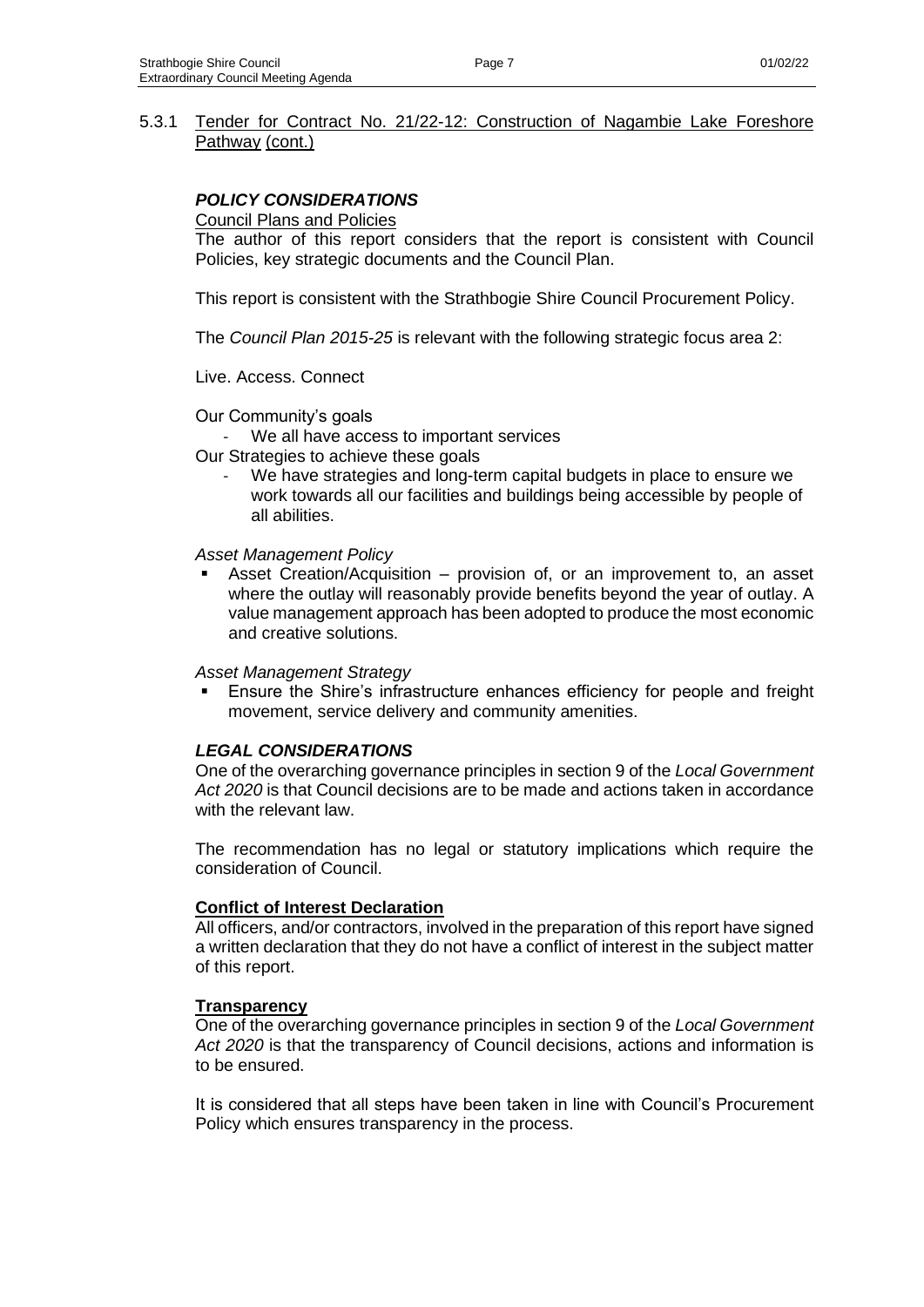### *POLICY CONSIDERATIONS*

#### Council Plans and Policies

The author of this report considers that the report is consistent with Council Policies, key strategic documents and the Council Plan.

This report is consistent with the Strathbogie Shire Council Procurement Policy.

The *Council Plan 2015-25* is relevant with the following strategic focus area 2:

#### Live. Access. Connect

- Our Community's goals
- We all have access to important services
- Our Strategies to achieve these goals
	- We have strategies and long-term capital budgets in place to ensure we work towards all our facilities and buildings being accessible by people of all abilities.

#### *Asset Management Policy*

Asset Creation/Acquisition – provision of, or an improvement to, an asset where the outlay will reasonably provide benefits beyond the year of outlay. A value management approach has been adopted to produce the most economic and creative solutions.

#### *Asset Management Strategy*

Ensure the Shire's infrastructure enhances efficiency for people and freight movement, service delivery and community amenities.

### *LEGAL CONSIDERATIONS*

One of the overarching governance principles in section 9 of the *Local Government Act 2020* is that Council decisions are to be made and actions taken in accordance with the relevant law.

The recommendation has no legal or statutory implications which require the consideration of Council.

### **Conflict of Interest Declaration**

All officers, and/or contractors, involved in the preparation of this report have signed a written declaration that they do not have a conflict of interest in the subject matter of this report.

#### **Transparency**

One of the overarching governance principles in section 9 of the *Local Government Act 2020* is that the transparency of Council decisions, actions and information is to be ensured.

It is considered that all steps have been taken in line with Council's Procurement Policy which ensures transparency in the process.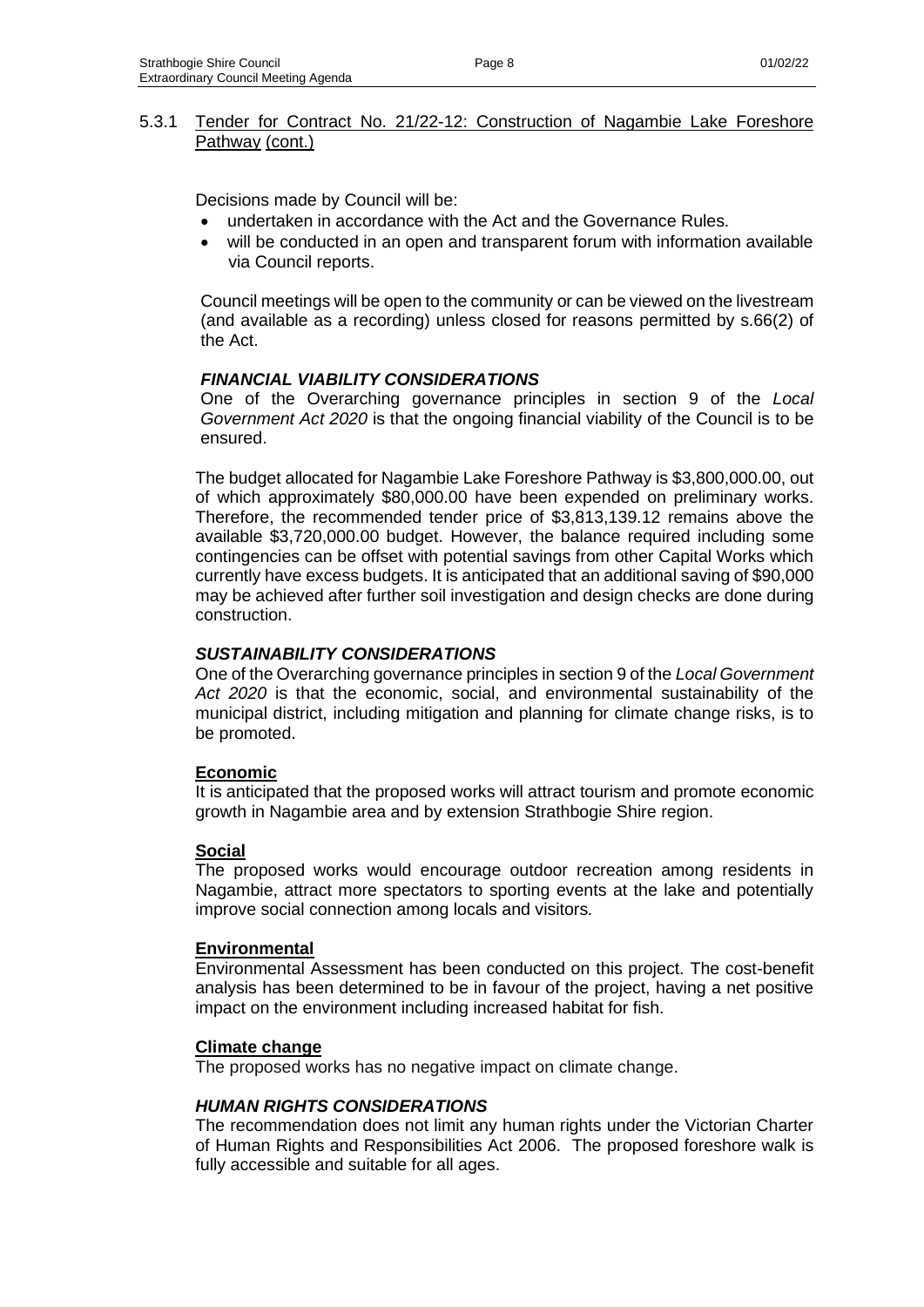Decisions made by Council will be:

- undertaken in accordance with the Act and the Governance Rules.
- will be conducted in an open and transparent forum with information available via Council reports.

Council meetings will be open to the community or can be viewed on the livestream (and available as a recording) unless closed for reasons permitted by s.66(2) of the Act.

### *FINANCIAL VIABILITY CONSIDERATIONS*

One of the Overarching governance principles in section 9 of the *Local Government Act 2020* is that the ongoing financial viability of the Council is to be ensured.

The budget allocated for Nagambie Lake Foreshore Pathway is \$3,800,000.00, out of which approximately \$80,000.00 have been expended on preliminary works. Therefore, the recommended tender price of \$3,813,139.12 remains above the available \$3,720,000.00 budget. However, the balance required including some contingencies can be offset with potential savings from other Capital Works which currently have excess budgets. It is anticipated that an additional saving of \$90,000 may be achieved after further soil investigation and design checks are done during construction.

### *SUSTAINABILITY CONSIDERATIONS*

One of the Overarching governance principles in section 9 of the *Local Government Act 2020* is that the economic, social, and environmental sustainability of the municipal district, including mitigation and planning for climate change risks, is to be promoted.

### **Economic**

It is anticipated that the proposed works will attract tourism and promote economic growth in Nagambie area and by extension Strathbogie Shire region.

### **Social**

The proposed works would encourage outdoor recreation among residents in Nagambie, attract more spectators to sporting events at the lake and potentially improve social connection among locals and visitors*.*

### **Environmental**

Environmental Assessment has been conducted on this project. The cost-benefit analysis has been determined to be in favour of the project, having a net positive impact on the environment including increased habitat for fish.

### **Climate change**

The proposed works has no negative impact on climate change.

### *HUMAN RIGHTS CONSIDERATIONS*

The recommendation does not limit any human rights under the Victorian Charter of Human Rights and Responsibilities Act 2006. The proposed foreshore walk is fully accessible and suitable for all ages.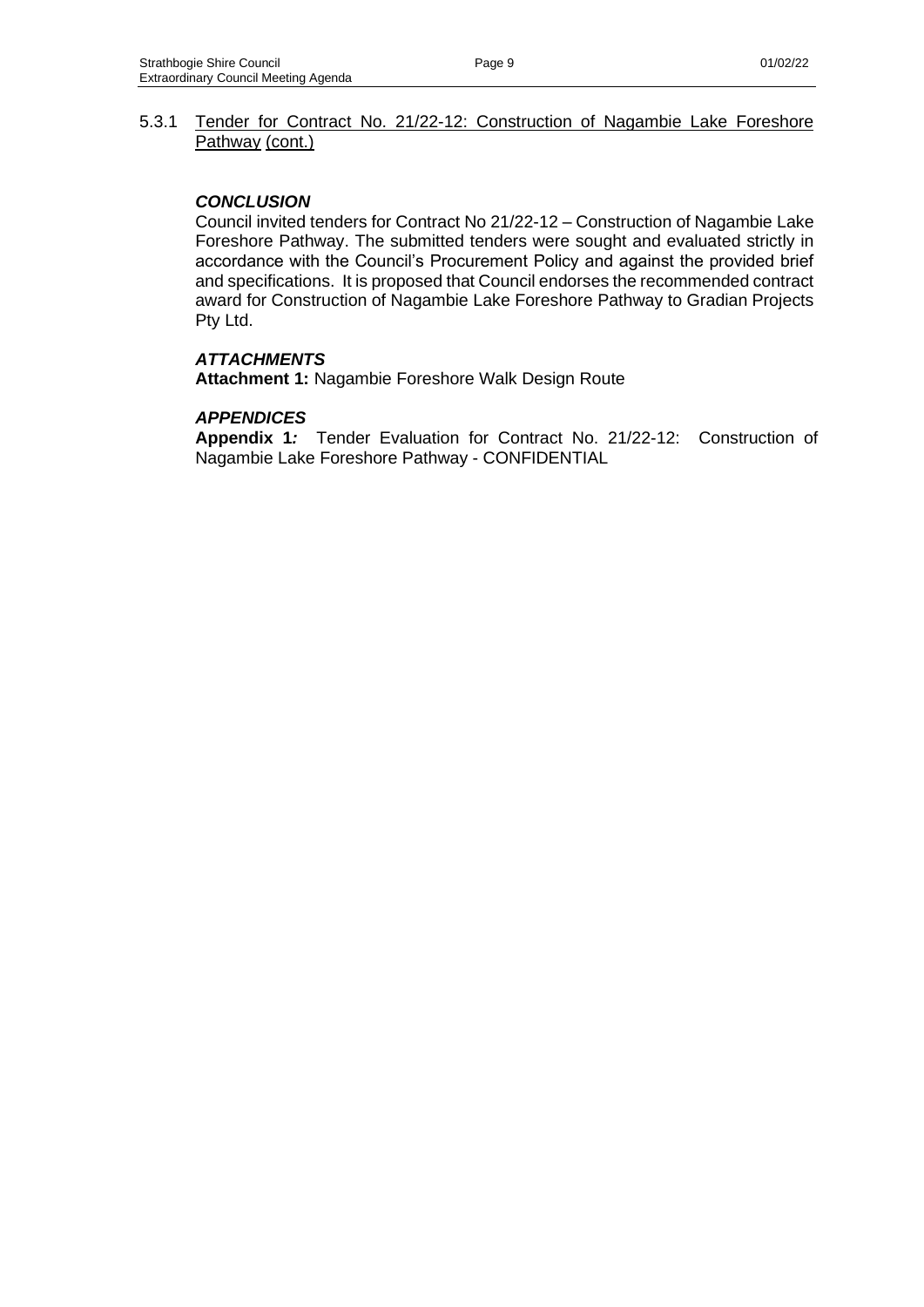### *CONCLUSION*

Council invited tenders for Contract No 21/22-12 – Construction of Nagambie Lake Foreshore Pathway. The submitted tenders were sought and evaluated strictly in accordance with the Council's Procurement Policy and against the provided brief and specifications. It is proposed that Council endorses the recommended contract award for Construction of Nagambie Lake Foreshore Pathway to Gradian Projects Pty Ltd.

### *ATTACHMENTS*

**Attachment 1:** Nagambie Foreshore Walk Design Route

### *APPENDICES*

**Appendix 1***:*Tender Evaluation for Contract No. 21/22-12: Construction of Nagambie Lake Foreshore Pathway - CONFIDENTIAL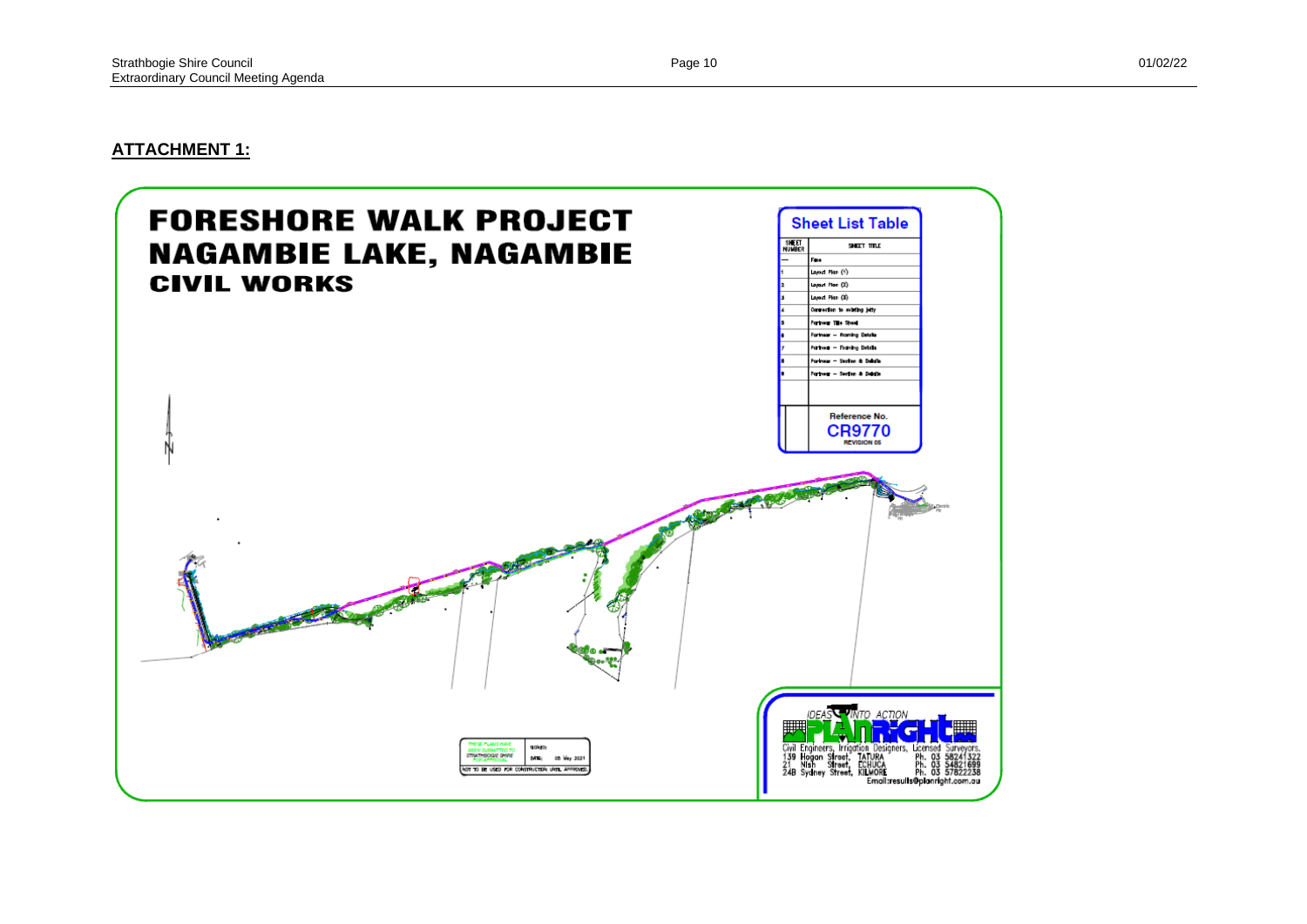#### **ATTACHMENT 1:**

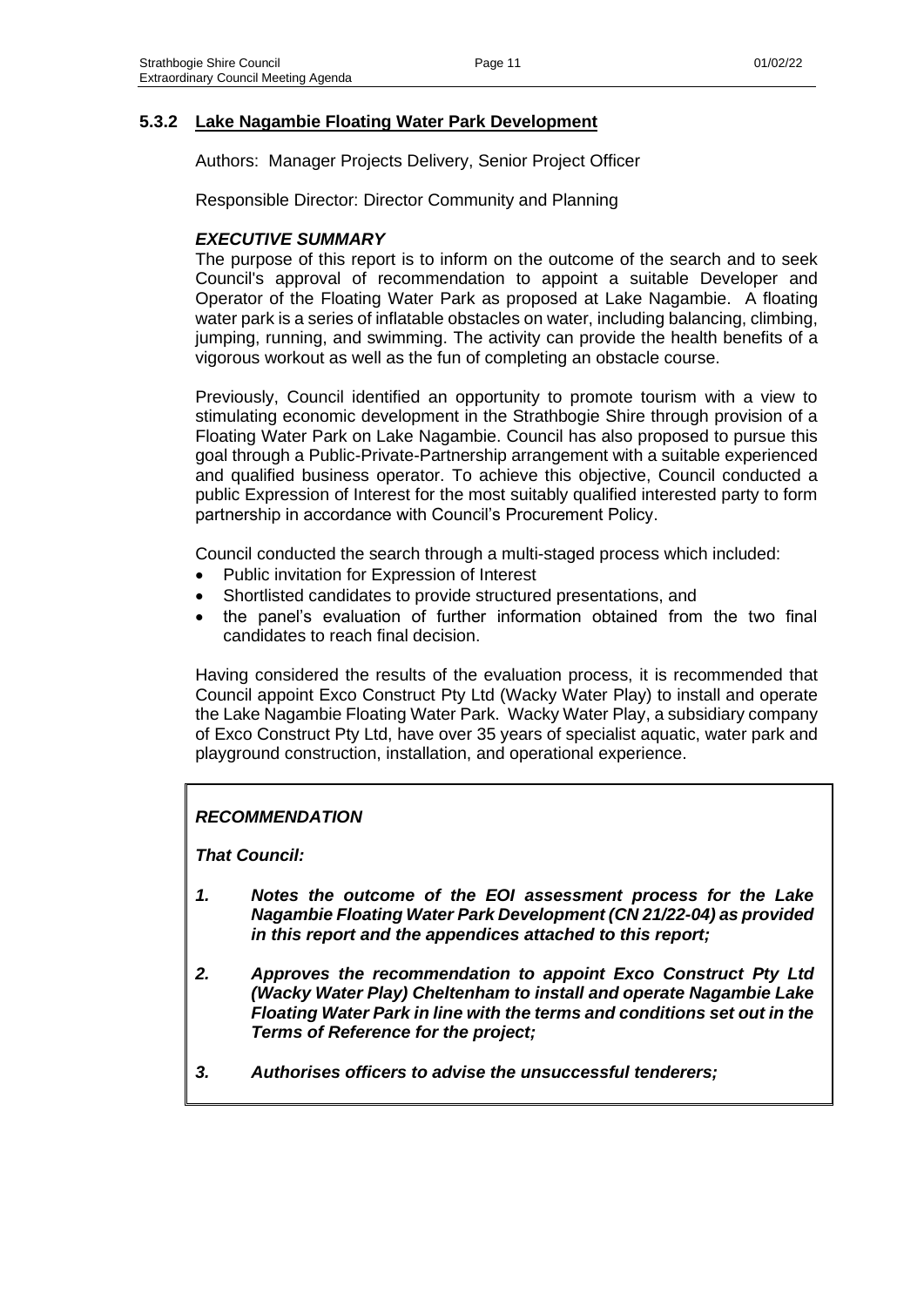Authors: Manager Projects Delivery, Senior Project Officer

Responsible Director: Director Community and Planning

### *EXECUTIVE SUMMARY*

The purpose of this report is to inform on the outcome of the search and to seek Council's approval of recommendation to appoint a suitable Developer and Operator of the Floating Water Park as proposed at Lake Nagambie. A floating water park is a series of inflatable obstacles on water, including balancing, climbing, jumping, running, and swimming. The activity can provide the health benefits of a vigorous workout as well as the fun of completing an obstacle course.

Previously, Council identified an opportunity to promote tourism with a view to stimulating economic development in the Strathbogie Shire through provision of a Floating Water Park on Lake Nagambie. Council has also proposed to pursue this goal through a Public-Private-Partnership arrangement with a suitable experienced and qualified business operator. To achieve this objective, Council conducted a public Expression of Interest for the most suitably qualified interested party to form partnership in accordance with Council's Procurement Policy.

Council conducted the search through a multi-staged process which included:

- Public invitation for Expression of Interest
- Shortlisted candidates to provide structured presentations, and
- the panel's evaluation of further information obtained from the two final candidates to reach final decision.

Having considered the results of the evaluation process, it is recommended that Council appoint Exco Construct Pty Ltd (Wacky Water Play) to install and operate the Lake Nagambie Floating Water Park. Wacky Water Play, a subsidiary company of Exco Construct Pty Ltd, have over 35 years of specialist aquatic, water park and playground construction, installation, and operational experience.

### *RECOMMENDATION*

*That Council:*

- *1. Notes the outcome of the EOI assessment process for the Lake Nagambie Floating Water Park Development (CN 21/22-04) as provided in this report and the appendices attached to this report;*
- *2. Approves the recommendation to appoint Exco Construct Pty Ltd (Wacky Water Play) Cheltenham to install and operate Nagambie Lake Floating Water Park in line with the terms and conditions set out in the Terms of Reference for the project;*
- *3. Authorises officers to advise the unsuccessful tenderers;*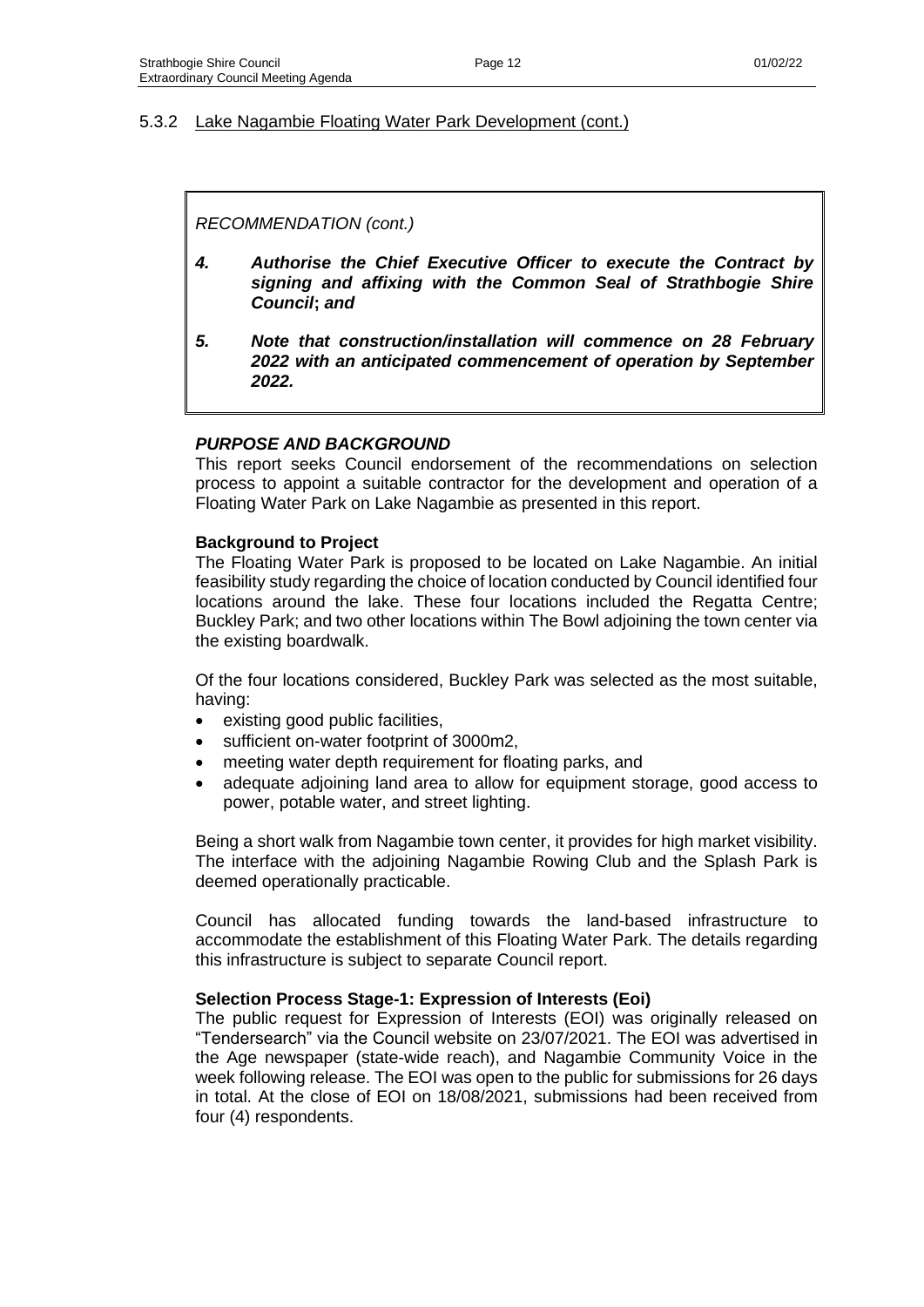*RECOMMENDATION (cont.)*

- *4. Authorise the Chief Executive Officer to execute the Contract by signing and affixing with the Common Seal of Strathbogie Shire Council***;** *and*
- *5. Note that construction/installation will commence on 28 February 2022 with an anticipated commencement of operation by September 2022.*

### *PURPOSE AND BACKGROUND*

This report seeks Council endorsement of the recommendations on selection process to appoint a suitable contractor for the development and operation of a Floating Water Park on Lake Nagambie as presented in this report.

#### **Background to Project**

The Floating Water Park is proposed to be located on Lake Nagambie. An initial feasibility study regarding the choice of location conducted by Council identified four locations around the lake. These four locations included the Regatta Centre; Buckley Park; and two other locations within The Bowl adjoining the town center via the existing boardwalk.

Of the four locations considered, Buckley Park was selected as the most suitable, having:

- existing good public facilities,
- sufficient on-water footprint of 3000m2,
- meeting water depth requirement for floating parks, and
- adequate adjoining land area to allow for equipment storage, good access to power, potable water, and street lighting.

Being a short walk from Nagambie town center, it provides for high market visibility. The interface with the adjoining Nagambie Rowing Club and the Splash Park is deemed operationally practicable.

Council has allocated funding towards the land-based infrastructure to accommodate the establishment of this Floating Water Park. The details regarding this infrastructure is subject to separate Council report.

### **Selection Process Stage-1: Expression of Interests (Eoi)**

The public request for Expression of Interests (EOI) was originally released on "Tendersearch" via the Council website on 23/07/2021. The EOI was advertised in the Age newspaper (state-wide reach), and Nagambie Community Voice in the week following release. The EOI was open to the public for submissions for 26 days in total. At the close of EOI on 18/08/2021, submissions had been received from four (4) respondents.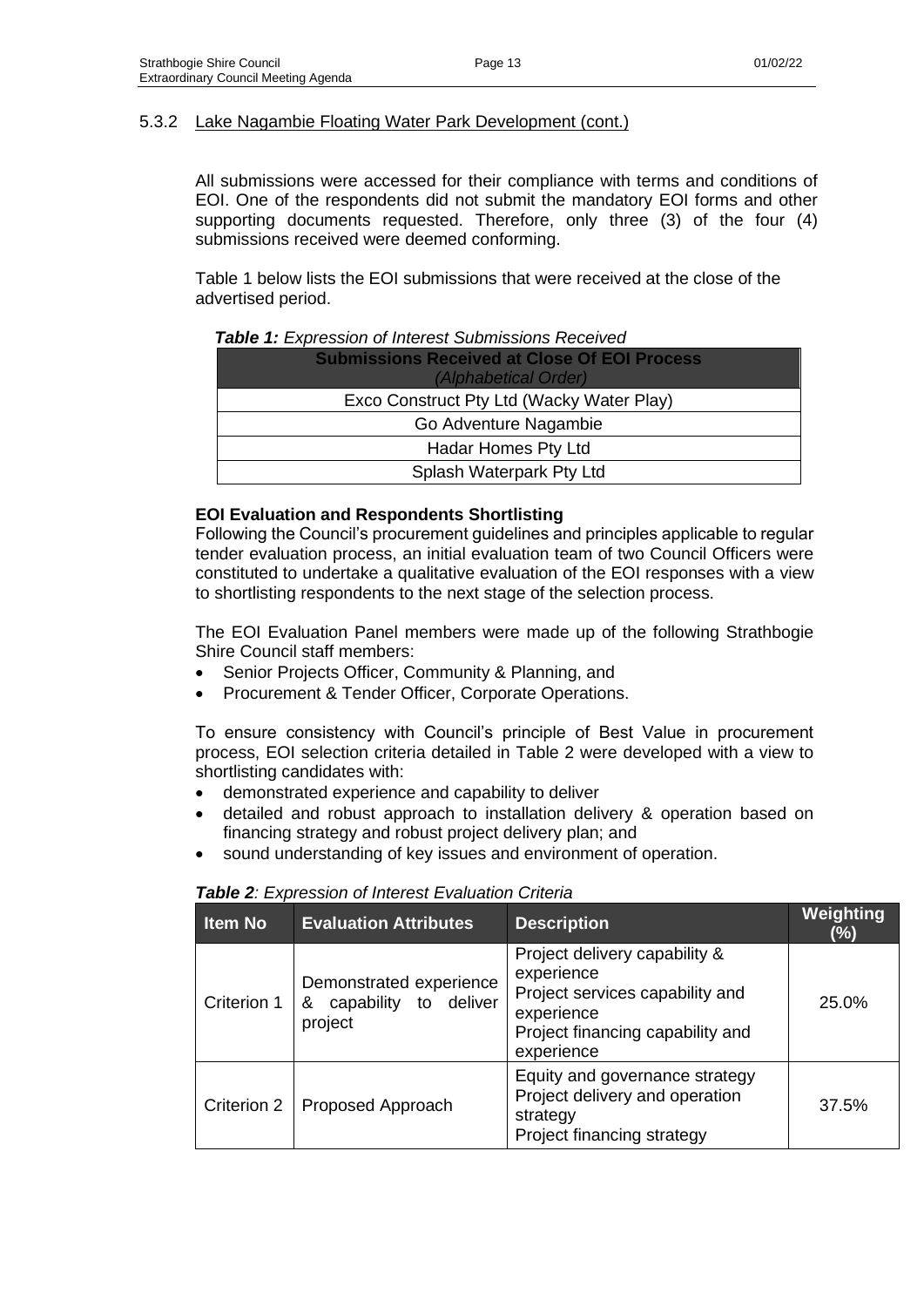All submissions were accessed for their compliance with terms and conditions of EOI. One of the respondents did not submit the mandatory EOI forms and other supporting documents requested. Therefore, only three (3) of the four (4) submissions received were deemed conforming.

Table 1 below lists the EOI submissions that were received at the close of the advertised period.

| <b>Submissions Received at Close Of EOI Process</b> |  |  |  |
|-----------------------------------------------------|--|--|--|
| (Alphabetical Order)                                |  |  |  |
| Exco Construct Pty Ltd (Wacky Water Play)           |  |  |  |
| Go Adventure Nagambie                               |  |  |  |
| Hadar Homes Pty Ltd                                 |  |  |  |
| Splash Waterpark Pty Ltd                            |  |  |  |

#### *Table 1: Expression of Interest Submissions Received*

### **EOI Evaluation and Respondents Shortlisting**

Following the Council's procurement guidelines and principles applicable to regular tender evaluation process, an initial evaluation team of two Council Officers were constituted to undertake a qualitative evaluation of the EOI responses with a view to shortlisting respondents to the next stage of the selection process.

The EOI Evaluation Panel members were made up of the following Strathbogie Shire Council staff members:

- Senior Projects Officer, Community & Planning, and
- Procurement & Tender Officer, Corporate Operations.

To ensure consistency with Council's principle of Best Value in procurement process, EOI selection criteria detailed in Table 2 were developed with a view to shortlisting candidates with:

- demonstrated experience and capability to deliver
- detailed and robust approach to installation delivery & operation based on financing strategy and robust project delivery plan; and
- sound understanding of key issues and environment of operation.

| <b>Item No</b> | <b>Evaluation Attributes</b>                                     | <b>Description</b>                                                                                                                             | Weighting<br>(%) |
|----------------|------------------------------------------------------------------|------------------------------------------------------------------------------------------------------------------------------------------------|------------------|
| Criterion 1    | Demonstrated experience<br>capability to deliver<br>&<br>project | Project delivery capability &<br>experience<br>Project services capability and<br>experience<br>Project financing capability and<br>experience | 25.0%            |
| Criterion 2    | Proposed Approach                                                | Equity and governance strategy<br>Project delivery and operation<br>strategy<br>Project financing strategy                                     | 37.5%            |

| Table 2: Expression of Interest Evaluation Criteria |  |  |  |  |
|-----------------------------------------------------|--|--|--|--|
|-----------------------------------------------------|--|--|--|--|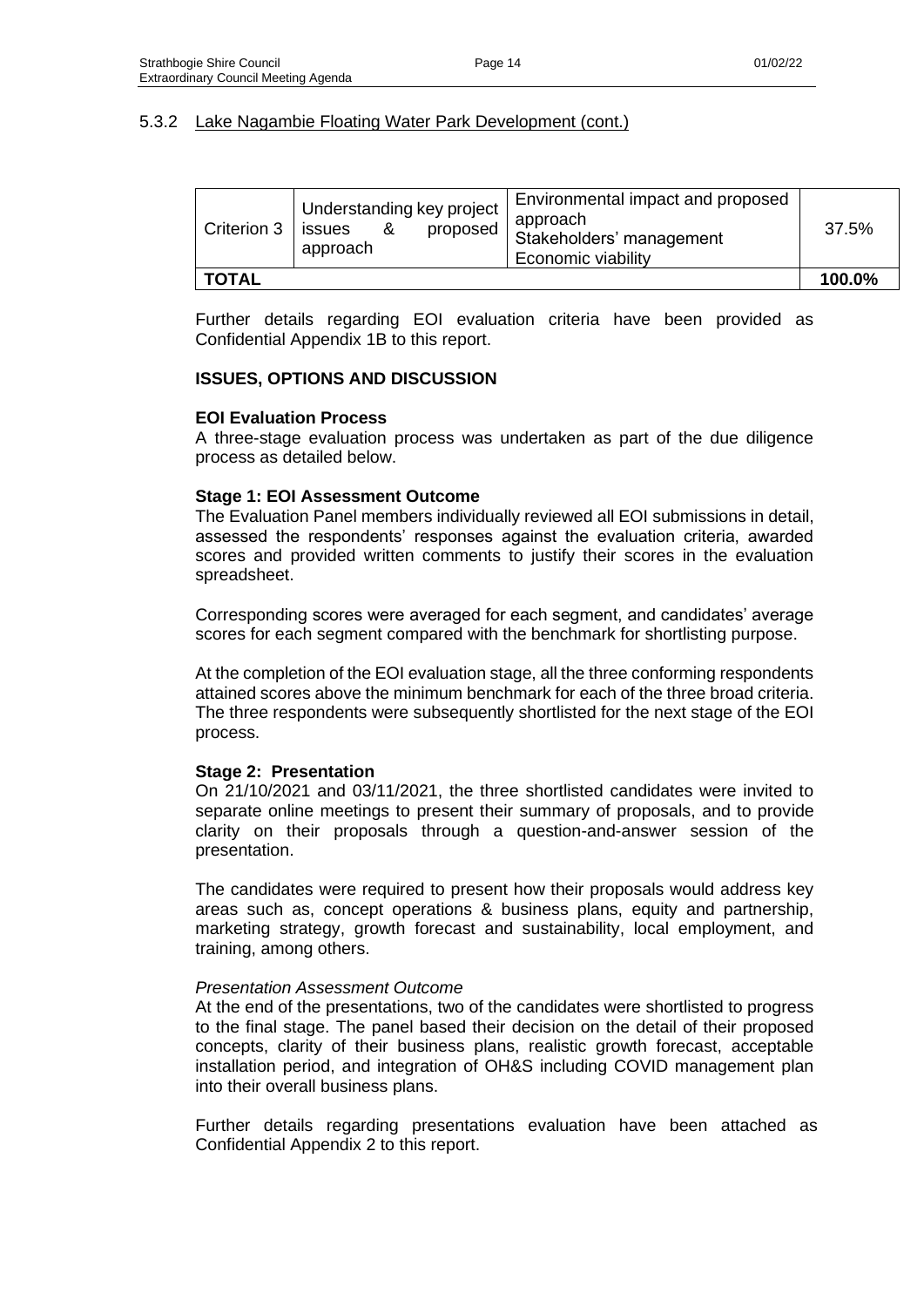| Criterion 3 | Understanding key project<br>issues<br>proposed<br>&<br>approach | Environmental impact and proposed<br>approach<br>Stakeholders' management<br>Economic viability | 37.5%  |
|-------------|------------------------------------------------------------------|-------------------------------------------------------------------------------------------------|--------|
| TOTAL       |                                                                  |                                                                                                 | 100.0% |

Further details regarding EOI evaluation criteria have been provided as Confidential Appendix 1B to this report.

### **ISSUES, OPTIONS AND DISCUSSION**

#### **EOI Evaluation Process**

A three-stage evaluation process was undertaken as part of the due diligence process as detailed below.

#### **Stage 1: EOI Assessment Outcome**

The Evaluation Panel members individually reviewed all EOI submissions in detail, assessed the respondents' responses against the evaluation criteria, awarded scores and provided written comments to justify their scores in the evaluation spreadsheet.

Corresponding scores were averaged for each segment, and candidates' average scores for each segment compared with the benchmark for shortlisting purpose.

At the completion of the EOI evaluation stage, all the three conforming respondents attained scores above the minimum benchmark for each of the three broad criteria. The three respondents were subsequently shortlisted for the next stage of the EOI process.

#### **Stage 2: Presentation**

On 21/10/2021 and 03/11/2021, the three shortlisted candidates were invited to separate online meetings to present their summary of proposals, and to provide clarity on their proposals through a question-and-answer session of the presentation.

The candidates were required to present how their proposals would address key areas such as, concept operations & business plans, equity and partnership, marketing strategy, growth forecast and sustainability, local employment, and training, among others.

#### *Presentation Assessment Outcome*

At the end of the presentations, two of the candidates were shortlisted to progress to the final stage. The panel based their decision on the detail of their proposed concepts, clarity of their business plans, realistic growth forecast, acceptable installation period, and integration of OH&S including COVID management plan into their overall business plans.

Further details regarding presentations evaluation have been attached as Confidential Appendix 2 to this report.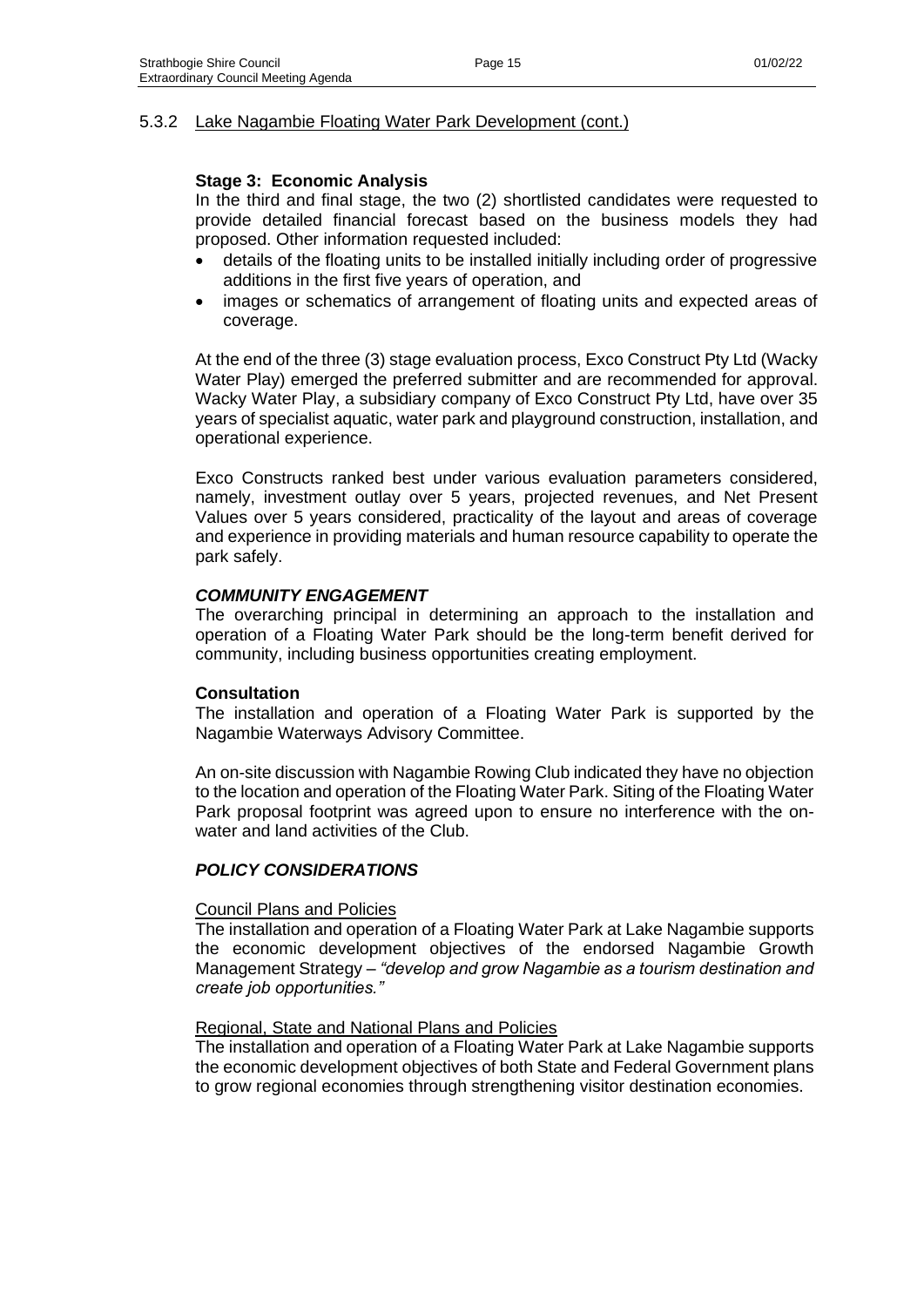### **Stage 3: Economic Analysis**

In the third and final stage, the two (2) shortlisted candidates were requested to provide detailed financial forecast based on the business models they had proposed. Other information requested included:

- details of the floating units to be installed initially including order of progressive additions in the first five years of operation, and
- images or schematics of arrangement of floating units and expected areas of coverage.

At the end of the three (3) stage evaluation process, Exco Construct Pty Ltd (Wacky Water Play) emerged the preferred submitter and are recommended for approval. Wacky Water Play, a subsidiary company of Exco Construct Pty Ltd, have over 35 years of specialist aquatic, water park and playground construction, installation, and operational experience.

Exco Constructs ranked best under various evaluation parameters considered, namely, investment outlay over 5 years, projected revenues, and Net Present Values over 5 years considered, practicality of the layout and areas of coverage and experience in providing materials and human resource capability to operate the park safely.

### *COMMUNITY ENGAGEMENT*

The overarching principal in determining an approach to the installation and operation of a Floating Water Park should be the long-term benefit derived for community, including business opportunities creating employment.

#### **Consultation**

The installation and operation of a Floating Water Park is supported by the Nagambie Waterways Advisory Committee.

An on-site discussion with Nagambie Rowing Club indicated they have no objection to the location and operation of the Floating Water Park. Siting of the Floating Water Park proposal footprint was agreed upon to ensure no interference with the onwater and land activities of the Club.

### *POLICY CONSIDERATIONS*

#### Council Plans and Policies

The installation and operation of a Floating Water Park at Lake Nagambie supports the economic development objectives of the endorsed Nagambie Growth Management Strategy *– "develop and grow Nagambie as a tourism destination and create job opportunities."*

#### Regional, State and National Plans and Policies

The installation and operation of a Floating Water Park at Lake Nagambie supports the economic development objectives of both State and Federal Government plans to grow regional economies through strengthening visitor destination economies.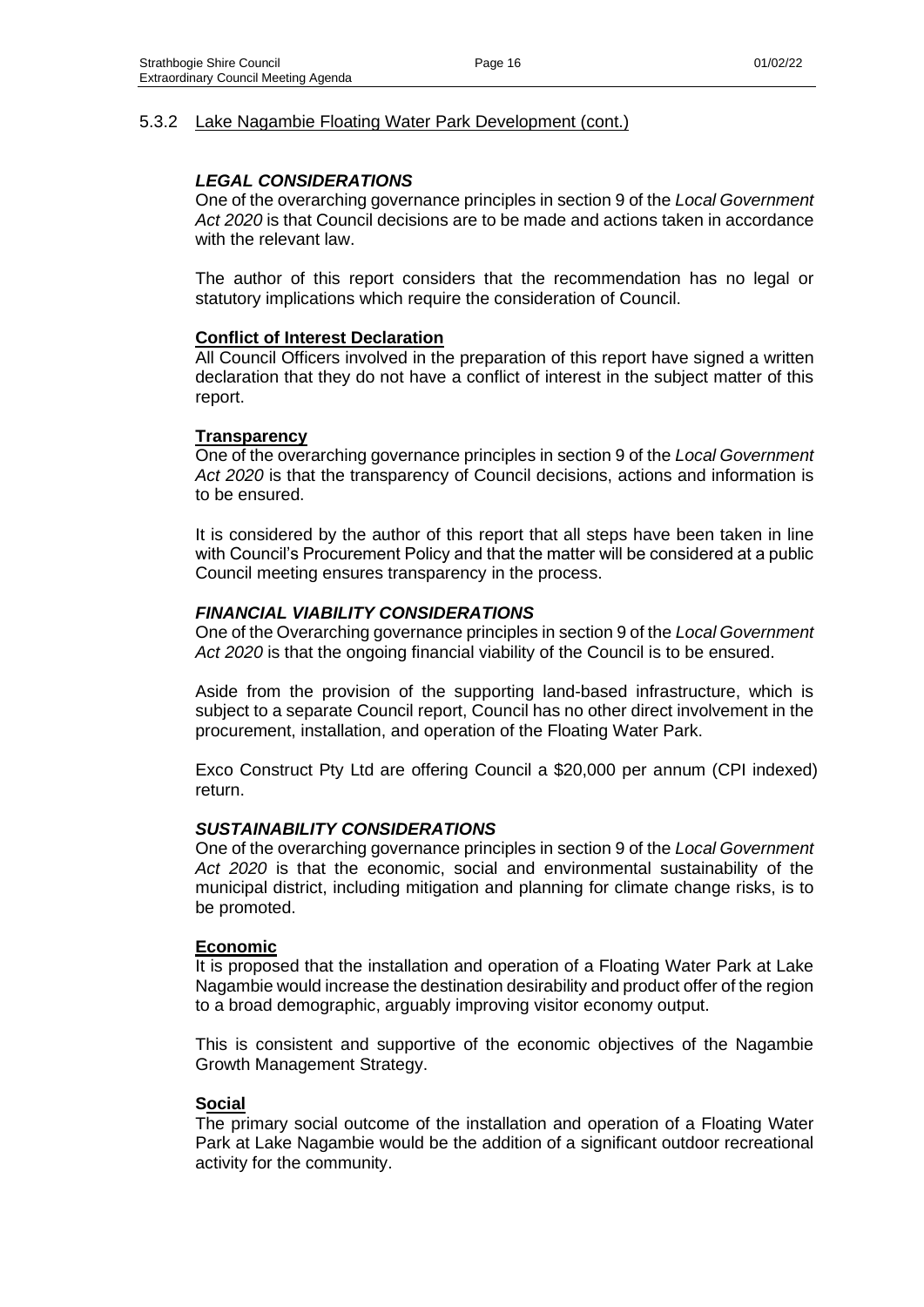### *LEGAL CONSIDERATIONS*

One of the overarching governance principles in section 9 of the *Local Government Act 2020* is that Council decisions are to be made and actions taken in accordance with the relevant law.

The author of this report considers that the recommendation has no legal or statutory implications which require the consideration of Council.

#### **Conflict of Interest Declaration**

All Council Officers involved in the preparation of this report have signed a written declaration that they do not have a conflict of interest in the subject matter of this report.

#### **Transparency**

One of the overarching governance principles in section 9 of the *Local Government Act 2020* is that the transparency of Council decisions, actions and information is to be ensured.

It is considered by the author of this report that all steps have been taken in line with Council's Procurement Policy and that the matter will be considered at a public Council meeting ensures transparency in the process.

#### *FINANCIAL VIABILITY CONSIDERATIONS*

One of the Overarching governance principles in section 9 of the *Local Government Act 2020* is that the ongoing financial viability of the Council is to be ensured.

Aside from the provision of the supporting land-based infrastructure, which is subject to a separate Council report, Council has no other direct involvement in the procurement, installation, and operation of the Floating Water Park.

Exco Construct Pty Ltd are offering Council a \$20,000 per annum (CPI indexed) return.

#### *SUSTAINABILITY CONSIDERATIONS*

One of the overarching governance principles in section 9 of the *Local Government Act 2020* is that the economic, social and environmental sustainability of the municipal district, including mitigation and planning for climate change risks, is to be promoted.

#### **Economic**

It is proposed that the installation and operation of a Floating Water Park at Lake Nagambie would increase the destination desirability and product offer of the region to a broad demographic, arguably improving visitor economy output.

This is consistent and supportive of the economic objectives of the Nagambie Growth Management Strategy.

#### **Social**

The primary social outcome of the installation and operation of a Floating Water Park at Lake Nagambie would be the addition of a significant outdoor recreational activity for the community.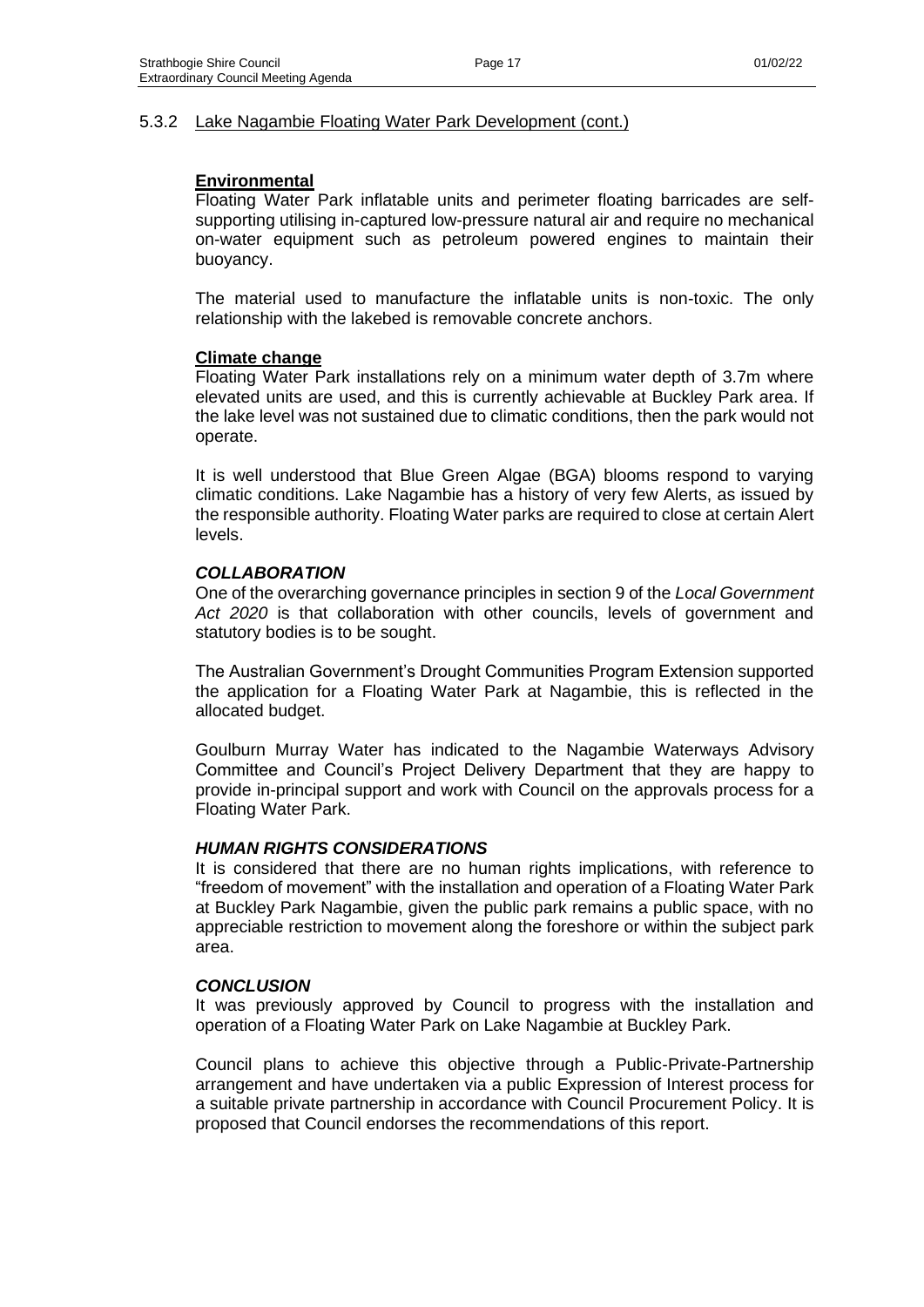### **Environmental**

Floating Water Park inflatable units and perimeter floating barricades are selfsupporting utilising in-captured low-pressure natural air and require no mechanical on-water equipment such as petroleum powered engines to maintain their buoyancy.

The material used to manufacture the inflatable units is non-toxic. The only relationship with the lakebed is removable concrete anchors.

### **Climate change**

Floating Water Park installations rely on a minimum water depth of 3.7m where elevated units are used, and this is currently achievable at Buckley Park area. If the lake level was not sustained due to climatic conditions, then the park would not operate.

It is well understood that Blue Green Algae (BGA) blooms respond to varying climatic conditions. Lake Nagambie has a history of very few Alerts, as issued by the responsible authority. Floating Water parks are required to close at certain Alert levels.

### *COLLABORATION*

One of the overarching governance principles in section 9 of the *Local Government Act 2020* is that collaboration with other councils, levels of government and statutory bodies is to be sought.

The Australian Government's Drought Communities Program Extension supported the application for a Floating Water Park at Nagambie, this is reflected in the allocated budget.

Goulburn Murray Water has indicated to the Nagambie Waterways Advisory Committee and Council's Project Delivery Department that they are happy to provide in-principal support and work with Council on the approvals process for a Floating Water Park.

### *HUMAN RIGHTS CONSIDERATIONS*

It is considered that there are no human rights implications, with reference to "freedom of movement" with the installation and operation of a Floating Water Park at Buckley Park Nagambie, given the public park remains a public space, with no appreciable restriction to movement along the foreshore or within the subject park area.

#### *CONCLUSION*

It was previously approved by Council to progress with the installation and operation of a Floating Water Park on Lake Nagambie at Buckley Park.

Council plans to achieve this objective through a Public-Private-Partnership arrangement and have undertaken via a public Expression of Interest process for a suitable private partnership in accordance with Council Procurement Policy. It is proposed that Council endorses the recommendations of this report.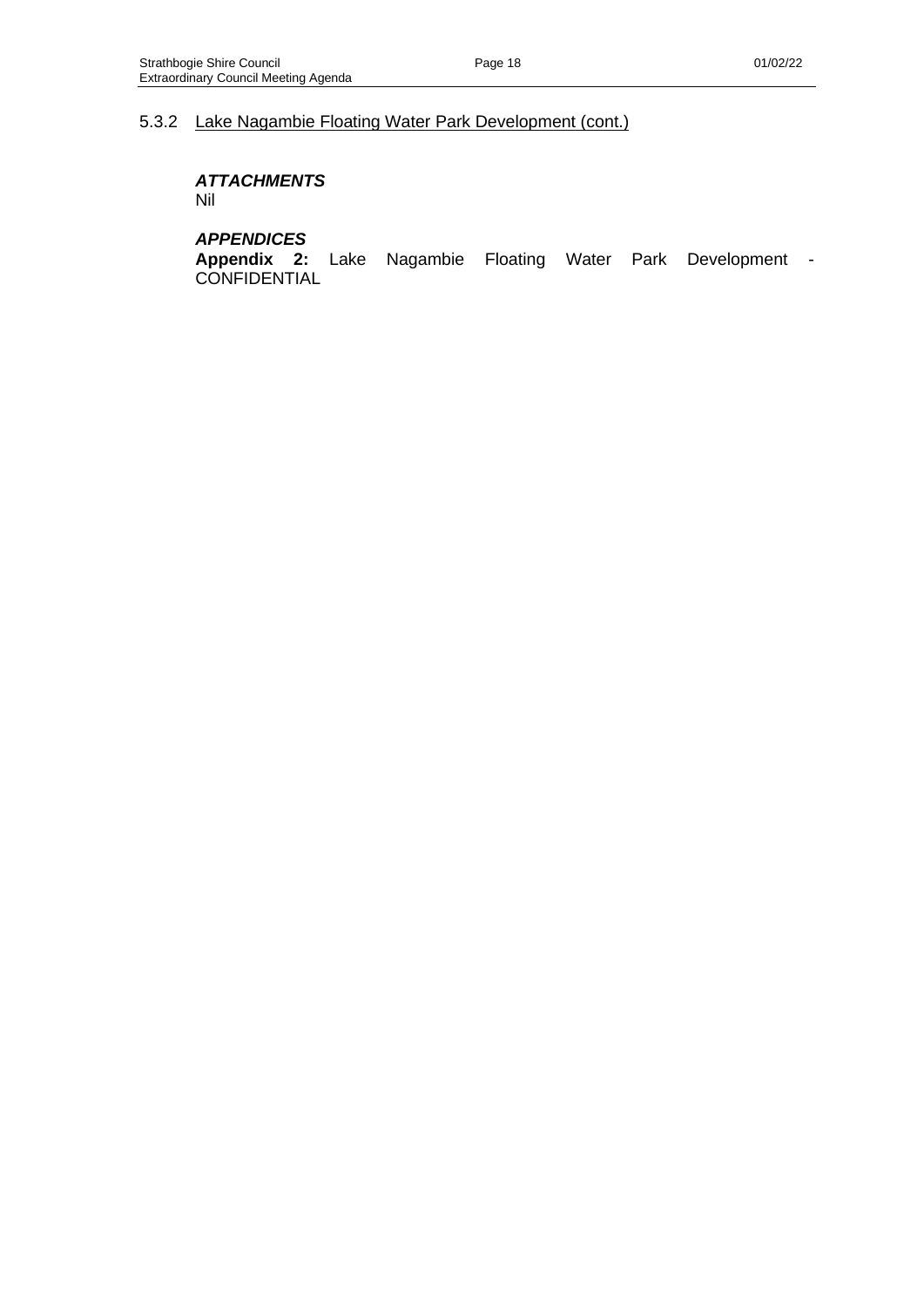*ATTACHMENTS*

Nil

### *APPENDICES*

**Appendix 2:** Lake Nagambie Floating Water Park Development - CONFIDENTIAL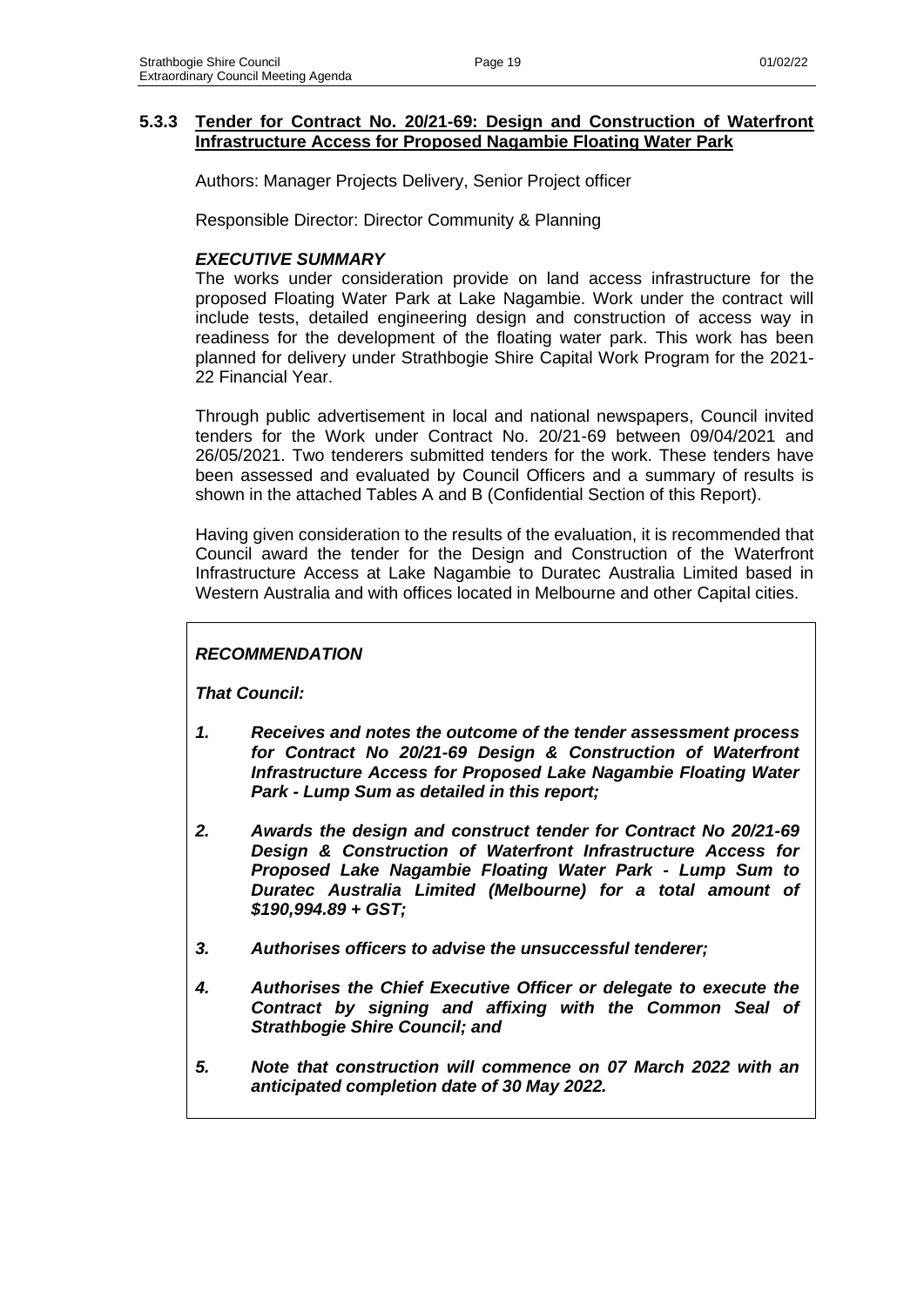Authors: Manager Projects Delivery, Senior Project officer

Responsible Director: Director Community & Planning

### *EXECUTIVE SUMMARY*

The works under consideration provide on land access infrastructure for the proposed Floating Water Park at Lake Nagambie. Work under the contract will include tests, detailed engineering design and construction of access way in readiness for the development of the floating water park. This work has been planned for delivery under Strathbogie Shire Capital Work Program for the 2021- 22 Financial Year.

Through public advertisement in local and national newspapers, Council invited tenders for the Work under Contract No. 20/21-69 between 09/04/2021 and 26/05/2021. Two tenderers submitted tenders for the work. These tenders have been assessed and evaluated by Council Officers and a summary of results is shown in the attached Tables A and B (Confidential Section of this Report).

Having given consideration to the results of the evaluation, it is recommended that Council award the tender for the Design and Construction of the Waterfront Infrastructure Access at Lake Nagambie to Duratec Australia Limited based in Western Australia and with offices located in Melbourne and other Capital cities.

### *RECOMMENDATION*

*That Council:*

- *1. Receives and notes the outcome of the tender assessment process for Contract No 20/21-69 Design & Construction of Waterfront Infrastructure Access for Proposed Lake Nagambie Floating Water Park - Lump Sum as detailed in this report;*
- *2. Awards the design and construct tender for Contract No 20/21-69 Design & Construction of Waterfront Infrastructure Access for Proposed Lake Nagambie Floating Water Park - Lump Sum to Duratec Australia Limited (Melbourne) for a total amount of \$190,994.89 + GST;*
- *3. Authorises officers to advise the unsuccessful tenderer;*
- *4. Authorises the Chief Executive Officer or delegate to execute the Contract by signing and affixing with the Common Seal of Strathbogie Shire Council; and*
- *5. Note that construction will commence on 07 March 2022 with an anticipated completion date of 30 May 2022.*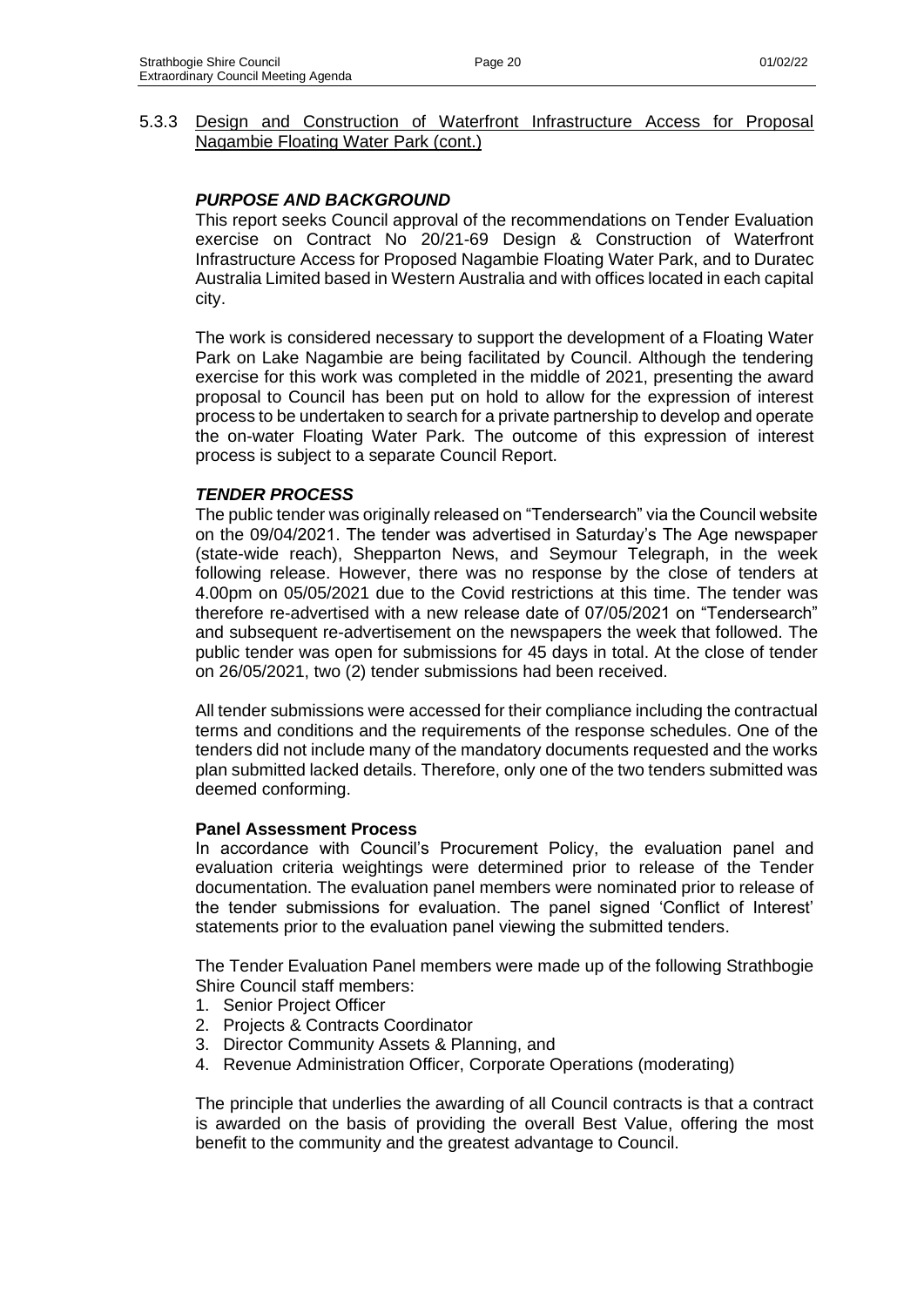### *PURPOSE AND BACKGROUND*

This report seeks Council approval of the recommendations on Tender Evaluation exercise on Contract No 20/21-69 Design & Construction of Waterfront Infrastructure Access for Proposed Nagambie Floating Water Park, and to Duratec Australia Limited based in Western Australia and with offices located in each capital city.

The work is considered necessary to support the development of a Floating Water Park on Lake Nagambie are being facilitated by Council. Although the tendering exercise for this work was completed in the middle of 2021, presenting the award proposal to Council has been put on hold to allow for the expression of interest process to be undertaken to search for a private partnership to develop and operate the on-water Floating Water Park. The outcome of this expression of interest process is subject to a separate Council Report.

### *TENDER PROCESS*

The public tender was originally released on "Tendersearch" via the Council website on the 09/04/2021. The tender was advertised in Saturday's The Age newspaper (state-wide reach), Shepparton News, and Seymour Telegraph, in the week following release. However, there was no response by the close of tenders at 4.00pm on 05/05/2021 due to the Covid restrictions at this time. The tender was therefore re-advertised with a new release date of 07/05/2021 on "Tendersearch" and subsequent re-advertisement on the newspapers the week that followed. The public tender was open for submissions for 45 days in total. At the close of tender on 26/05/2021, two (2) tender submissions had been received.

All tender submissions were accessed for their compliance including the contractual terms and conditions and the requirements of the response schedules. One of the tenders did not include many of the mandatory documents requested and the works plan submitted lacked details. Therefore, only one of the two tenders submitted was deemed conforming.

#### **Panel Assessment Process**

In accordance with Council's Procurement Policy, the evaluation panel and evaluation criteria weightings were determined prior to release of the Tender documentation. The evaluation panel members were nominated prior to release of the tender submissions for evaluation. The panel signed 'Conflict of Interest' statements prior to the evaluation panel viewing the submitted tenders.

The Tender Evaluation Panel members were made up of the following Strathbogie Shire Council staff members:

- 1. Senior Project Officer
- 2. Projects & Contracts Coordinator
- 3. Director Community Assets & Planning, and
- 4. Revenue Administration Officer, Corporate Operations (moderating)

The principle that underlies the awarding of all Council contracts is that a contract is awarded on the basis of providing the overall Best Value, offering the most benefit to the community and the greatest advantage to Council.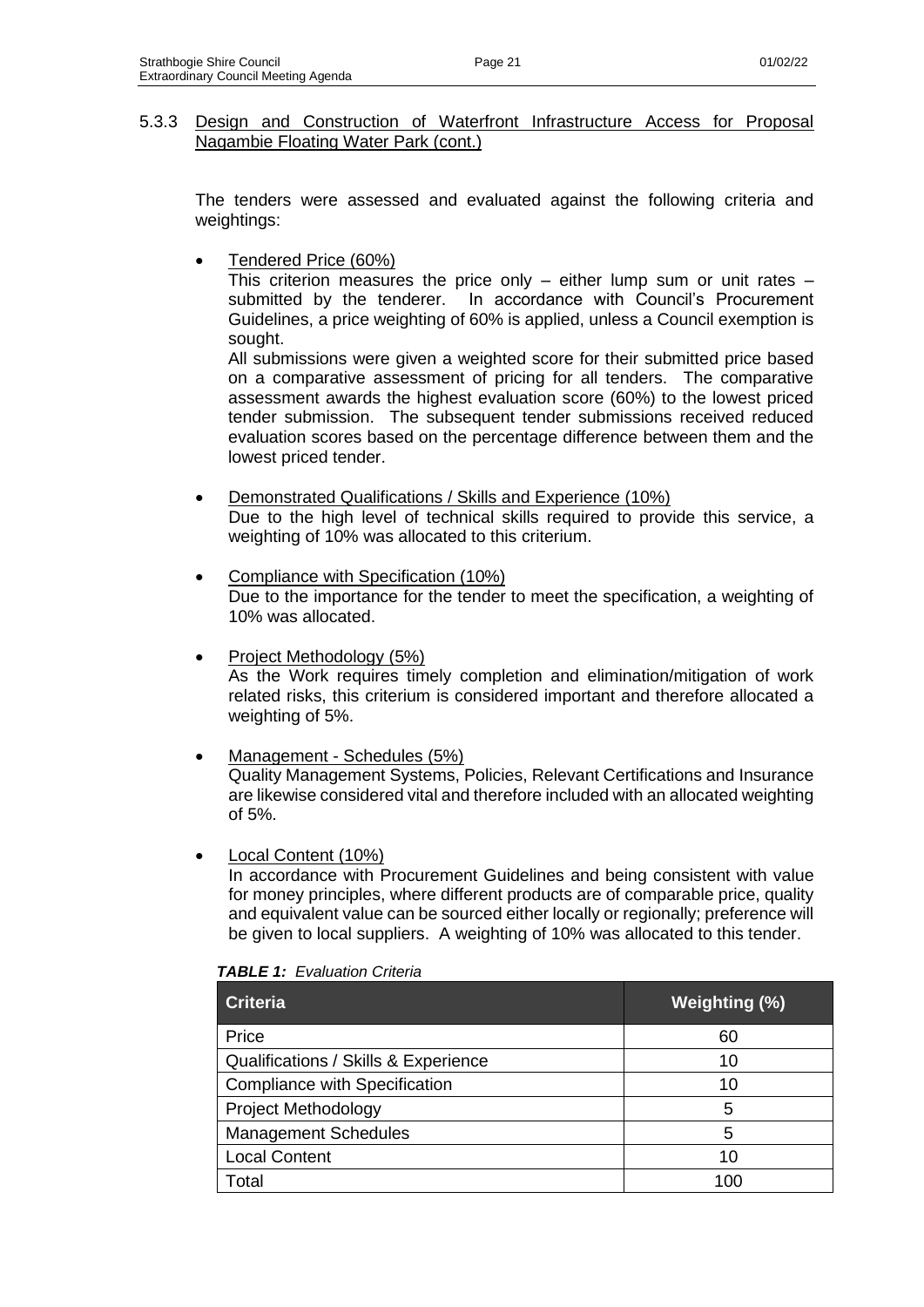The tenders were assessed and evaluated against the following criteria and weightings:

• Tendered Price (60%)

This criterion measures the price only  $-$  either lump sum or unit rates  $$ submitted by the tenderer. In accordance with Council's Procurement Guidelines, a price weighting of 60% is applied, unless a Council exemption is sought.

All submissions were given a weighted score for their submitted price based on a comparative assessment of pricing for all tenders. The comparative assessment awards the highest evaluation score (60%) to the lowest priced tender submission. The subsequent tender submissions received reduced evaluation scores based on the percentage difference between them and the lowest priced tender.

- Demonstrated Qualifications / Skills and Experience (10%) Due to the high level of technical skills required to provide this service, a weighting of 10% was allocated to this criterium.
- Compliance with Specification (10%) Due to the importance for the tender to meet the specification, a weighting of 10% was allocated.
- Project Methodology (5%) As the Work requires timely completion and elimination/mitigation of work related risks, this criterium is considered important and therefore allocated a weighting of 5%.
- Management Schedules (5%) Quality Management Systems, Policies, Relevant Certifications and Insurance are likewise considered vital and therefore included with an allocated weighting of 5%.
- Local Content (10%)

In accordance with Procurement Guidelines and being consistent with value for money principles, where different products are of comparable price, quality and equivalent value can be sourced either locally or regionally; preference will be given to local suppliers. A weighting of 10% was allocated to this tender.

| <b>Criteria</b>                      | <b>Weighting (%)</b> |
|--------------------------------------|----------------------|
| Price                                | 60                   |
| Qualifications / Skills & Experience | 10                   |
| Compliance with Specification        | 10                   |
| <b>Project Methodology</b>           | 5                    |
| <b>Management Schedules</b>          | 5                    |
| <b>Local Content</b>                 | 10                   |
| Total                                | 100                  |

#### *TABLE 1: Evaluation Criteria*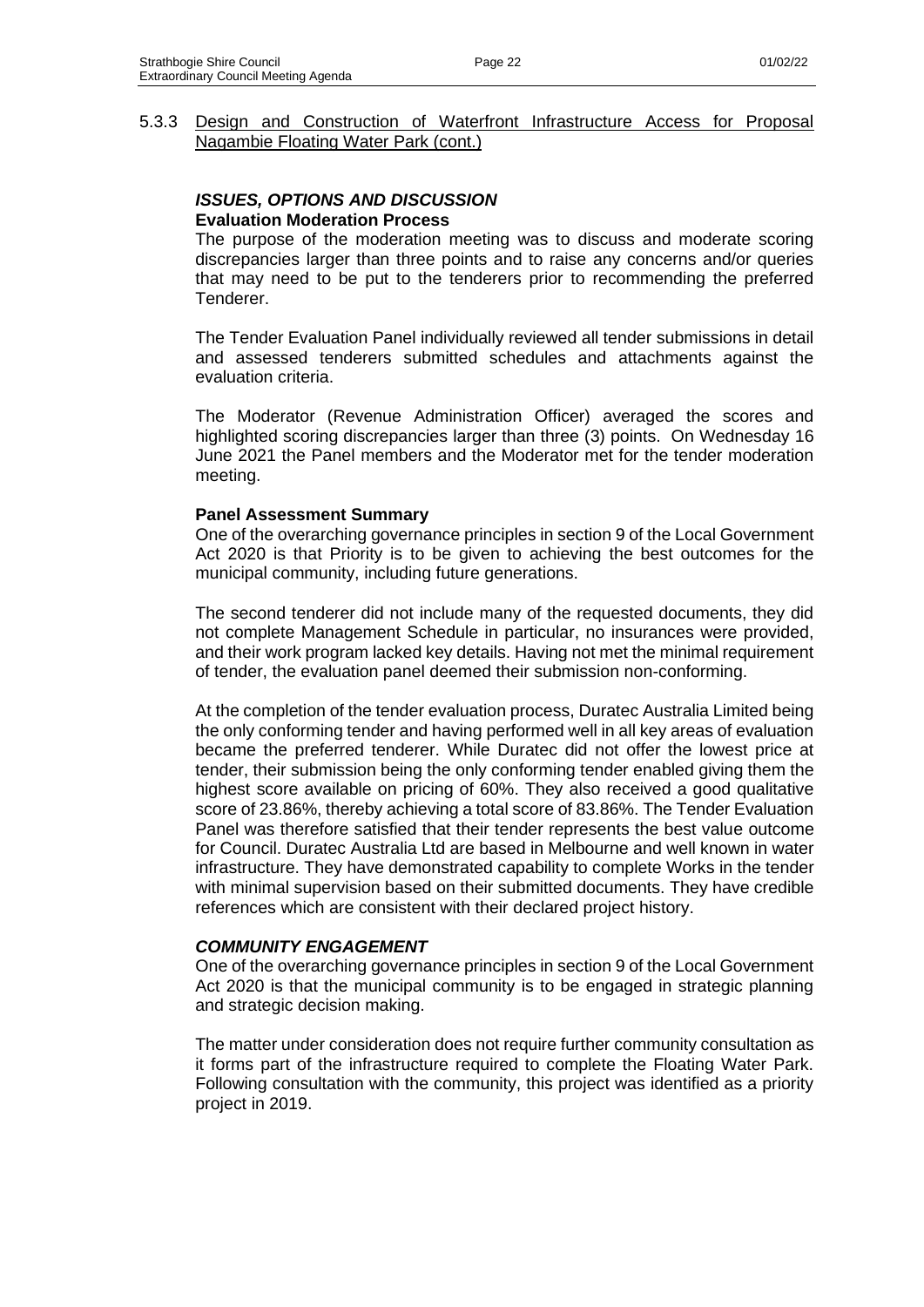### *ISSUES, OPTIONS AND DISCUSSION* **Evaluation Moderation Process**

The purpose of the moderation meeting was to discuss and moderate scoring discrepancies larger than three points and to raise any concerns and/or queries that may need to be put to the tenderers prior to recommending the preferred Tenderer.

The Tender Evaluation Panel individually reviewed all tender submissions in detail and assessed tenderers submitted schedules and attachments against the evaluation criteria.

The Moderator (Revenue Administration Officer) averaged the scores and highlighted scoring discrepancies larger than three (3) points. On Wednesday 16 June 2021 the Panel members and the Moderator met for the tender moderation meeting.

#### **Panel Assessment Summary**

One of the overarching governance principles in section 9 of the Local Government Act 2020 is that Priority is to be given to achieving the best outcomes for the municipal community, including future generations.

The second tenderer did not include many of the requested documents, they did not complete Management Schedule in particular, no insurances were provided, and their work program lacked key details. Having not met the minimal requirement of tender, the evaluation panel deemed their submission non-conforming.

At the completion of the tender evaluation process, Duratec Australia Limited being the only conforming tender and having performed well in all key areas of evaluation became the preferred tenderer. While Duratec did not offer the lowest price at tender, their submission being the only conforming tender enabled giving them the highest score available on pricing of 60%. They also received a good qualitative score of 23.86%, thereby achieving a total score of 83.86%. The Tender Evaluation Panel was therefore satisfied that their tender represents the best value outcome for Council. Duratec Australia Ltd are based in Melbourne and well known in water infrastructure. They have demonstrated capability to complete Works in the tender with minimal supervision based on their submitted documents. They have credible references which are consistent with their declared project history.

### *COMMUNITY ENGAGEMENT*

One of the overarching governance principles in section 9 of the Local Government Act 2020 is that the municipal community is to be engaged in strategic planning and strategic decision making.

The matter under consideration does not require further community consultation as it forms part of the infrastructure required to complete the Floating Water Park. Following consultation with the community, this project was identified as a priority project in 2019.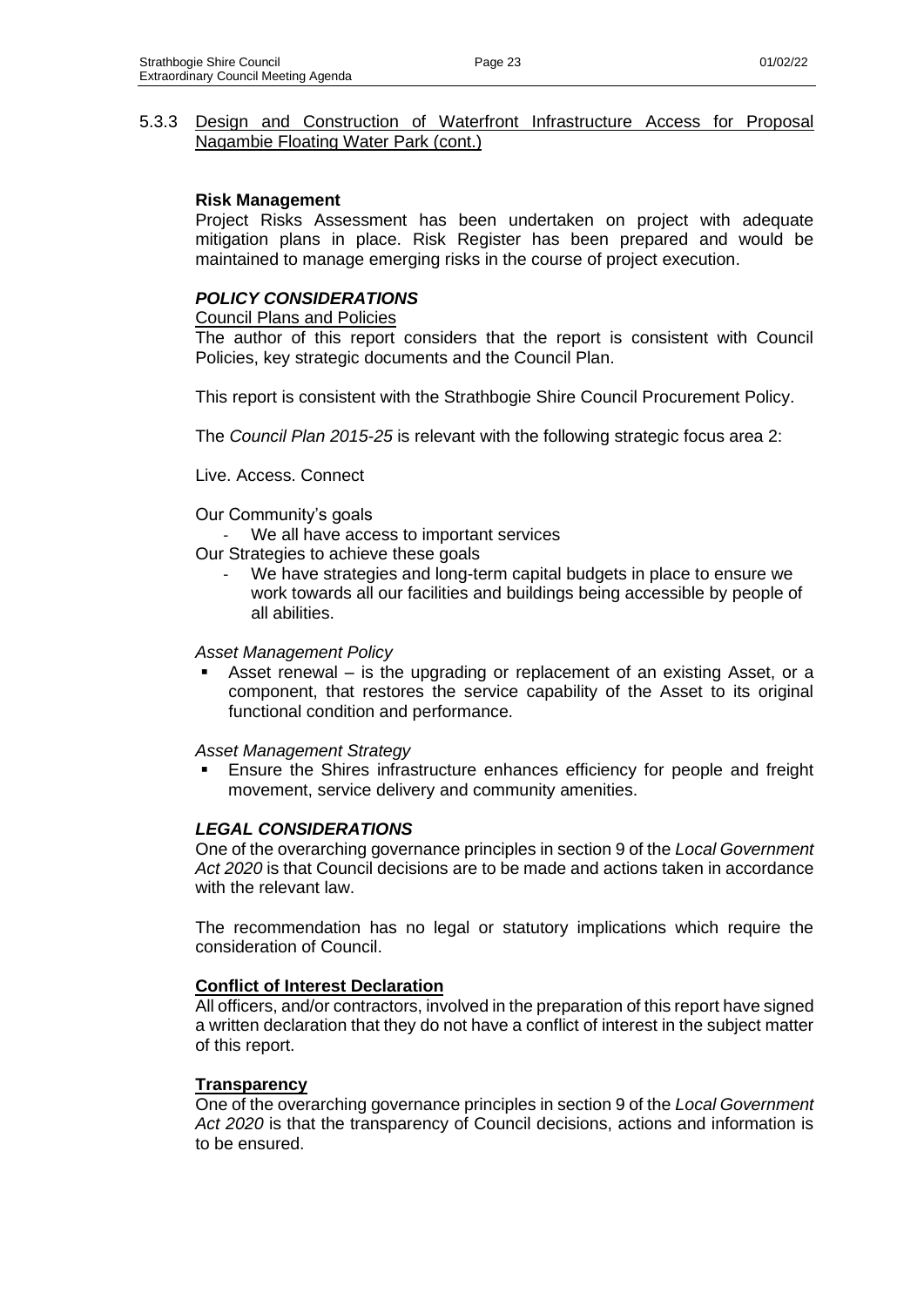#### **Risk Management**

Project Risks Assessment has been undertaken on project with adequate mitigation plans in place. Risk Register has been prepared and would be maintained to manage emerging risks in the course of project execution.

### *POLICY CONSIDERATIONS*

#### Council Plans and Policies

The author of this report considers that the report is consistent with Council Policies, key strategic documents and the Council Plan.

This report is consistent with the Strathbogie Shire Council Procurement Policy.

The *Council Plan 2015-25* is relevant with the following strategic focus area 2:

Live. Access. Connect

#### Our Community's goals

- We all have access to important services
- Our Strategies to achieve these goals
	- We have strategies and long-term capital budgets in place to ensure we work towards all our facilities and buildings being accessible by people of all abilities.

#### *Asset Management Policy*

Asset renewal  $-$  is the upgrading or replacement of an existing Asset, or a component, that restores the service capability of the Asset to its original functional condition and performance.

#### *Asset Management Strategy*

Ensure the Shires infrastructure enhances efficiency for people and freight movement, service delivery and community amenities.

#### *LEGAL CONSIDERATIONS*

One of the overarching governance principles in section 9 of the *Local Government Act 2020* is that Council decisions are to be made and actions taken in accordance with the relevant law.

The recommendation has no legal or statutory implications which require the consideration of Council.

#### **Conflict of Interest Declaration**

All officers, and/or contractors, involved in the preparation of this report have signed a written declaration that they do not have a conflict of interest in the subject matter of this report.

#### **Transparency**

One of the overarching governance principles in section 9 of the *Local Government Act 2020* is that the transparency of Council decisions, actions and information is to be ensured.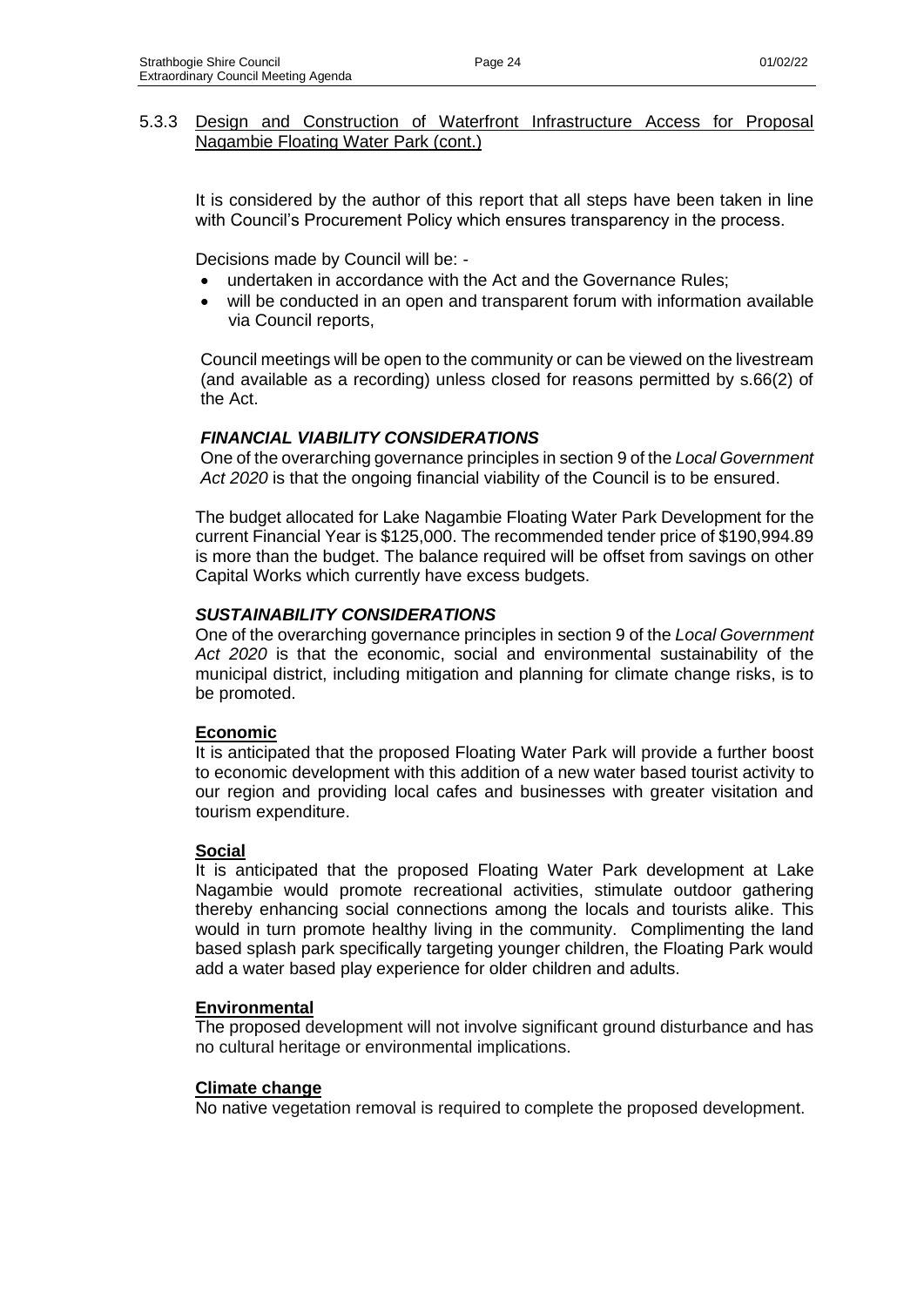It is considered by the author of this report that all steps have been taken in line with Council's Procurement Policy which ensures transparency in the process.

Decisions made by Council will be: -

- undertaken in accordance with the Act and the Governance Rules;
- will be conducted in an open and transparent forum with information available via Council reports,

Council meetings will be open to the community or can be viewed on the livestream (and available as a recording) unless closed for reasons permitted by s.66(2) of the Act.

### *FINANCIAL VIABILITY CONSIDERATIONS*

One of the overarching governance principles in section 9 of the *Local Government Act 2020* is that the ongoing financial viability of the Council is to be ensured.

The budget allocated for Lake Nagambie Floating Water Park Development for the current Financial Year is \$125,000. The recommended tender price of \$190,994.89 is more than the budget. The balance required will be offset from savings on other Capital Works which currently have excess budgets.

### *SUSTAINABILITY CONSIDERATIONS*

One of the overarching governance principles in section 9 of the *Local Government Act 2020* is that the economic, social and environmental sustainability of the municipal district, including mitigation and planning for climate change risks, is to be promoted.

### **Economic**

It is anticipated that the proposed Floating Water Park will provide a further boost to economic development with this addition of a new water based tourist activity to our region and providing local cafes and businesses with greater visitation and tourism expenditure.

### **Social**

It is anticipated that the proposed Floating Water Park development at Lake Nagambie would promote recreational activities, stimulate outdoor gathering thereby enhancing social connections among the locals and tourists alike. This would in turn promote healthy living in the community. Complimenting the land based splash park specifically targeting younger children, the Floating Park would add a water based play experience for older children and adults.

### **Environmental**

The proposed development will not involve significant ground disturbance and has no cultural heritage or environmental implications.

### **Climate change**

No native vegetation removal is required to complete the proposed development.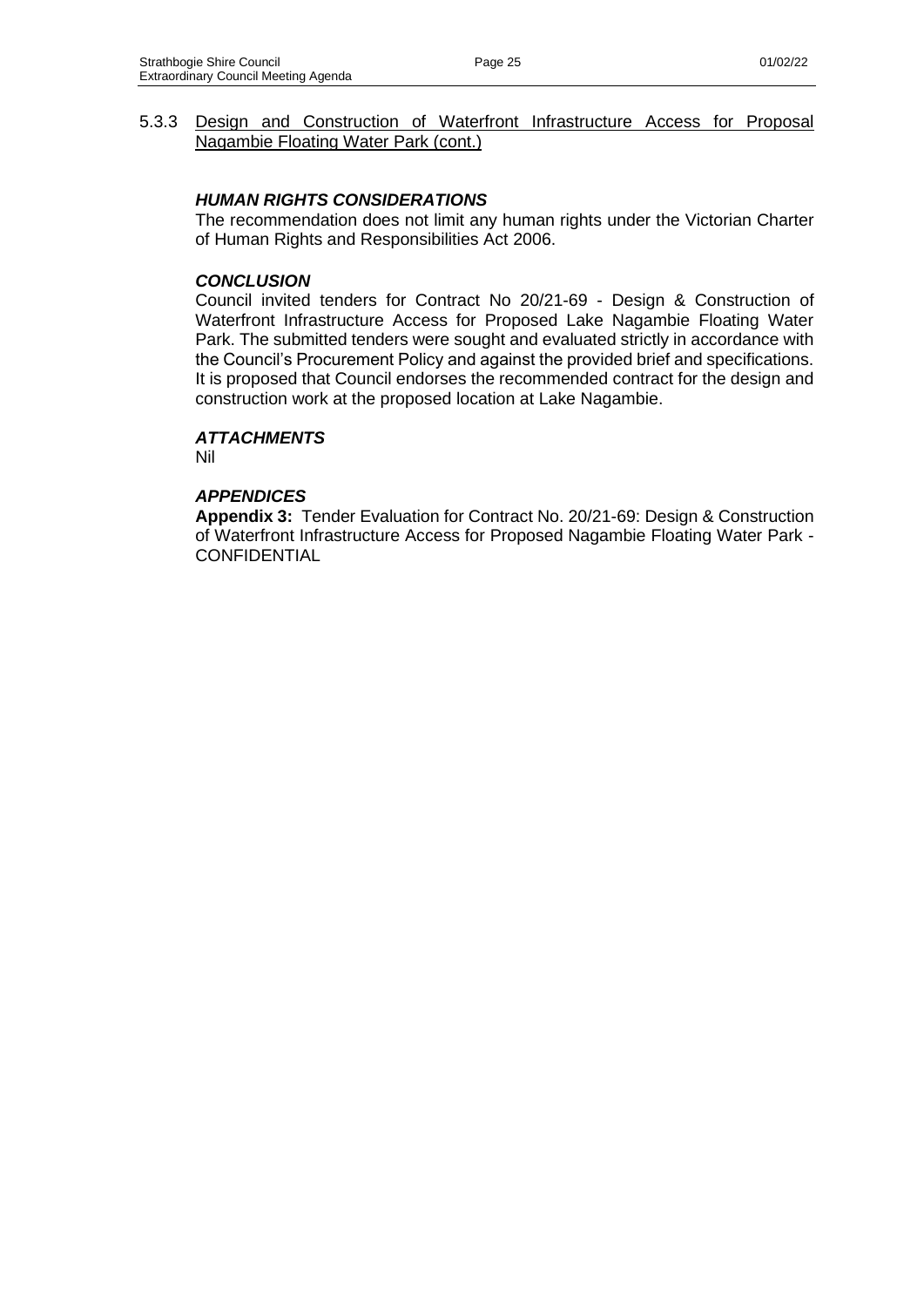### *HUMAN RIGHTS CONSIDERATIONS*

The recommendation does not limit any human rights under the Victorian Charter of Human Rights and Responsibilities Act 2006.

#### *CONCLUSION*

Council invited tenders for Contract No 20/21-69 - Design & Construction of Waterfront Infrastructure Access for Proposed Lake Nagambie Floating Water Park. The submitted tenders were sought and evaluated strictly in accordance with the Council's Procurement Policy and against the provided brief and specifications. It is proposed that Council endorses the recommended contract for the design and construction work at the proposed location at Lake Nagambie.

#### *ATTACHMENTS*

Nil

#### *APPENDICES*

**Appendix 3:** Tender Evaluation for Contract No. 20/21-69: Design & Construction of Waterfront Infrastructure Access for Proposed Nagambie Floating Water Park - **CONFIDENTIAL**